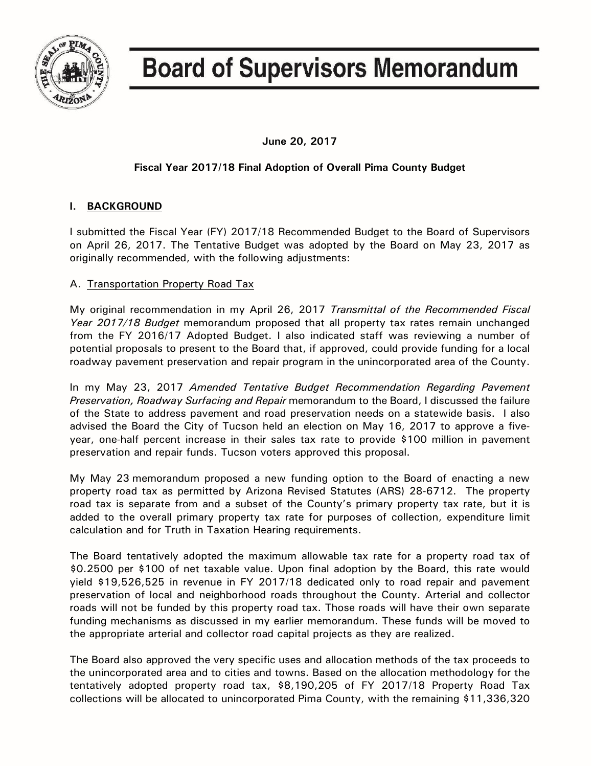

# **Board of Supervisors Memorandum**

**June 20, 2017**

# **Fiscal Year 2017/18 Final Adoption of Overall Pima County Budget**

# **I. BACKGROUND**

I submitted the Fiscal Year (FY) 2017/18 Recommended Budget to the Board of Supervisors on April 26, 2017. The Tentative Budget was adopted by the Board on May 23, 2017 as originally recommended, with the following adjustments:

# A. Transportation Property Road Tax

My original recommendation in my April 26, 2017 *Transmittal of the Recommended Fiscal Year 2017/18 Budget* memorandum proposed that all property tax rates remain unchanged from the FY 2016/17 Adopted Budget. I also indicated staff was reviewing a number of potential proposals to present to the Board that, if approved, could provide funding for a local roadway pavement preservation and repair program in the unincorporated area of the County.

In my May 23, 2017 *Amended Tentative Budget Recommendation Regarding Pavement Preservation, Roadway Surfacing and Repair* memorandum to the Board, I discussed the failure of the State to address pavement and road preservation needs on a statewide basis. I also advised the Board the City of Tucson held an election on May 16, 2017 to approve a fiveyear, one-half percent increase in their sales tax rate to provide \$100 million in pavement preservation and repair funds. Tucson voters approved this proposal.

My May 23 memorandum proposed a new funding option to the Board of enacting a new property road tax as permitted by Arizona Revised Statutes (ARS) 28-6712. The property road tax is separate from and a subset of the County's primary property tax rate, but it is added to the overall primary property tax rate for purposes of collection, expenditure limit calculation and for Truth in Taxation Hearing requirements.

The Board tentatively adopted the maximum allowable tax rate for a property road tax of \$0.2500 per \$100 of net taxable value. Upon final adoption by the Board, this rate would yield \$19,526,525 in revenue in FY 2017/18 dedicated only to road repair and pavement preservation of local and neighborhood roads throughout the County. Arterial and collector roads will not be funded by this property road tax. Those roads will have their own separate funding mechanisms as discussed in my earlier memorandum. These funds will be moved to the appropriate arterial and collector road capital projects as they are realized.

The Board also approved the very specific uses and allocation methods of the tax proceeds to the unincorporated area and to cities and towns. Based on the allocation methodology for the tentatively adopted property road tax, \$8,190,205 of FY 2017/18 Property Road Tax collections will be allocated to unincorporated Pima County, with the remaining \$11,336,320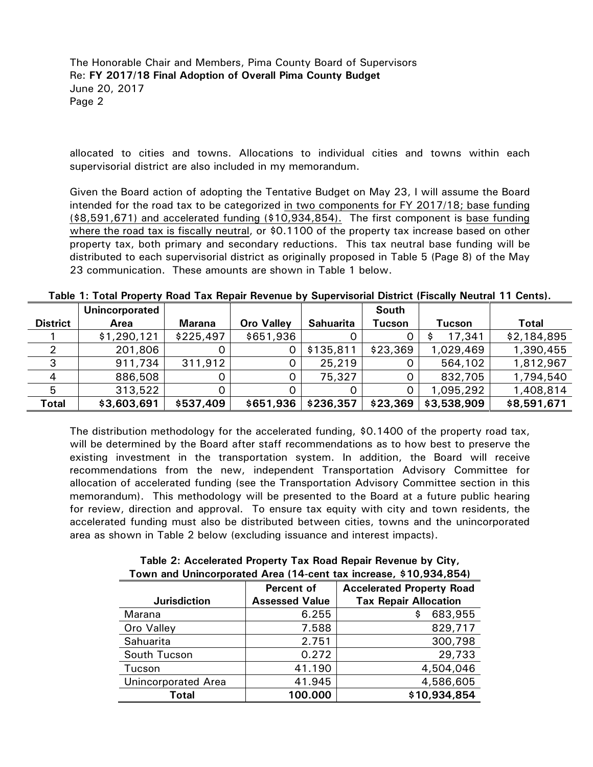allocated to cities and towns. Allocations to individual cities and towns within each supervisorial district are also included in my memorandum.

Given the Board action of adopting the Tentative Budget on May 23, I will assume the Board intended for the road tax to be categorized in two components for FY 2017/18; base funding (\$8,591,671) and accelerated funding (\$10,934,854). The first component is base funding where the road tax is fiscally neutral, or \$0.1100 of the property tax increase based on other property tax, both primary and secondary reductions. This tax neutral base funding will be distributed to each supervisorial district as originally proposed in Table 5 (Page 8) of the May 23 communication. These amounts are shown in Table 1 below.

|                 | Unincorporated |           |                   |                  | South    |             |              |
|-----------------|----------------|-----------|-------------------|------------------|----------|-------------|--------------|
| <b>District</b> | Area           | Marana    | <b>Oro Valley</b> | <b>Sahuarita</b> | Tucson   | Tucson      | <b>Total</b> |
|                 | \$1,290,121    | \$225,497 | \$651,936         |                  |          | 17,341      | \$2,184,895  |
|                 | 201,806        |           | 0                 | \$135,811        | \$23,369 | 1,029,469   | 1,390,455    |
|                 | 911,734        | 311,912   | 0                 | 25,219           |          | 564,102     | 1,812,967    |
|                 | 886,508        |           |                   | 75,327           |          | 832,705     | 1,794,540    |
|                 | 313,522        |           |                   |                  |          | 1,095,292   | 1,408,814    |
| Total           | \$3,603,691    | \$537,409 | \$651,936         | \$236,357        | \$23,369 | \$3,538,909 | \$8,591,671  |

**Table 1: Total Property Road Tax Repair Revenue by Supervisorial District (Fiscally Neutral 11 Cents).**

The distribution methodology for the accelerated funding, \$0.1400 of the property road tax, will be determined by the Board after staff recommendations as to how best to preserve the existing investment in the transportation system. In addition, the Board will receive recommendations from the new, independent Transportation Advisory Committee for allocation of accelerated funding (see the Transportation Advisory Committee section in this memorandum). This methodology will be presented to the Board at a future public hearing for review, direction and approval. To ensure tax equity with city and town residents, the accelerated funding must also be distributed between cities, towns and the unincorporated area as shown in Table 2 below (excluding issuance and interest impacts).

| ו דעט, דערט, אוויז מווע מאז די דעס ווידידו (האיז די דעס וויז דעס) איז דעס וויז דעס וויז דעס וויז דע |                       |                                  |  |
|-----------------------------------------------------------------------------------------------------|-----------------------|----------------------------------|--|
|                                                                                                     | Percent of            | <b>Accelerated Property Road</b> |  |
| <b>Jurisdiction</b>                                                                                 | <b>Assessed Value</b> | <b>Tax Repair Allocation</b>     |  |
| Marana                                                                                              | 6.255                 | 683,955<br>\$                    |  |
| Oro Valley                                                                                          | 7.588                 | 829,717                          |  |
| Sahuarita                                                                                           | 2.751                 | 300,798                          |  |
| South Tucson                                                                                        | 0.272                 | 29,733                           |  |
| Tucson                                                                                              | 41.190                | 4,504,046                        |  |
| <b>Unincorporated Area</b>                                                                          | 41.945                | 4,586,605                        |  |
| <b>Total</b>                                                                                        | 100.000               | \$10,934,854                     |  |

**Table 2: Accelerated Property Tax Road Repair Revenue by City, Town and Unincorporated Area (14-cent tax increase, \$10,934,854)**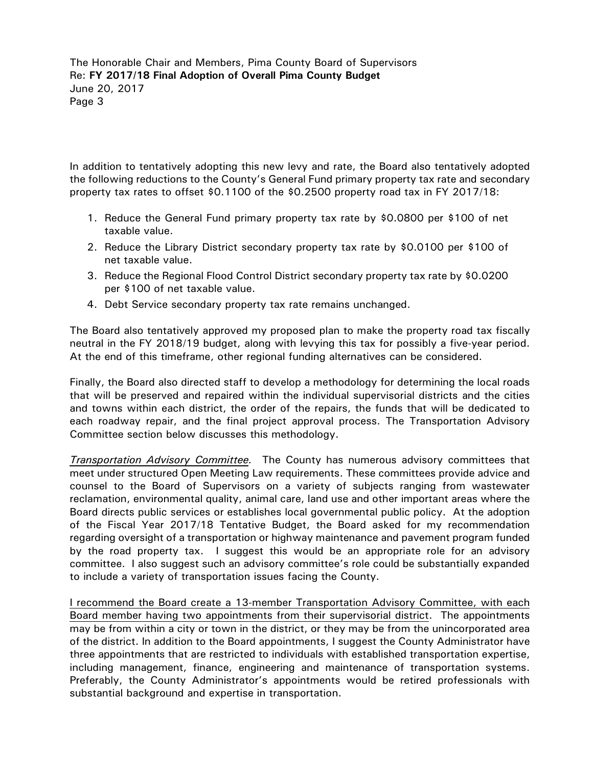In addition to tentatively adopting this new levy and rate, the Board also tentatively adopted the following reductions to the County's General Fund primary property tax rate and secondary property tax rates to offset \$0.1100 of the \$0.2500 property road tax in FY 2017/18:

- 1. Reduce the General Fund primary property tax rate by \$0.0800 per \$100 of net taxable value.
- 2. Reduce the Library District secondary property tax rate by \$0.0100 per \$100 of net taxable value.
- 3. Reduce the Regional Flood Control District secondary property tax rate by \$0.0200 per \$100 of net taxable value.
- 4. Debt Service secondary property tax rate remains unchanged.

The Board also tentatively approved my proposed plan to make the property road tax fiscally neutral in the FY 2018/19 budget, along with levying this tax for possibly a five-year period. At the end of this timeframe, other regional funding alternatives can be considered.

Finally, the Board also directed staff to develop a methodology for determining the local roads that will be preserved and repaired within the individual supervisorial districts and the cities and towns within each district, the order of the repairs, the funds that will be dedicated to each roadway repair, and the final project approval process. The Transportation Advisory Committee section below discusses this methodology.

*Transportation Advisory Committee.* The County has numerous advisory committees that meet under structured Open Meeting Law requirements. These committees provide advice and counsel to the Board of Supervisors on a variety of subjects ranging from wastewater reclamation, environmental quality, animal care, land use and other important areas where the Board directs public services or establishes local governmental public policy. At the adoption of the Fiscal Year 2017/18 Tentative Budget, the Board asked for my recommendation regarding oversight of a transportation or highway maintenance and pavement program funded by the road property tax. I suggest this would be an appropriate role for an advisory committee. I also suggest such an advisory committee's role could be substantially expanded to include a variety of transportation issues facing the County.

I recommend the Board create a 13-member Transportation Advisory Committee, with each Board member having two appointments from their supervisorial district. The appointments may be from within a city or town in the district, or they may be from the unincorporated area of the district. In addition to the Board appointments, I suggest the County Administrator have three appointments that are restricted to individuals with established transportation expertise, including management, finance, engineering and maintenance of transportation systems. Preferably, the County Administrator's appointments would be retired professionals with substantial background and expertise in transportation.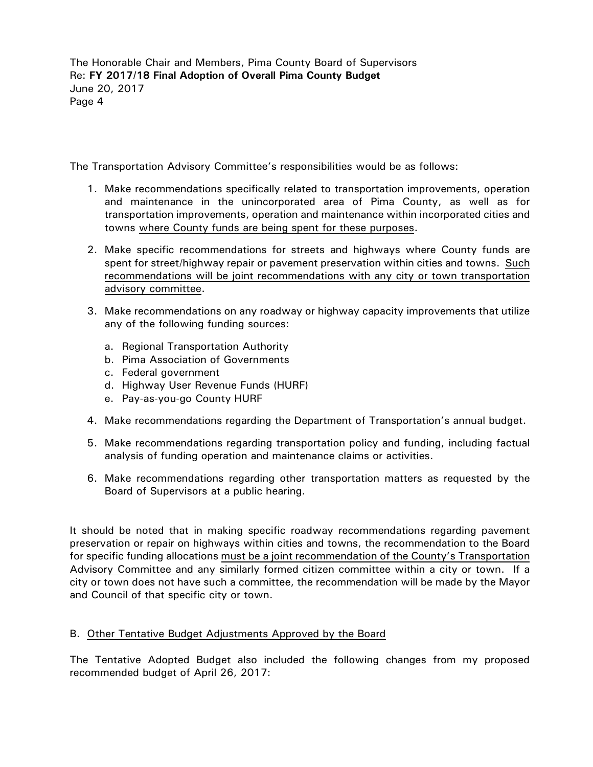The Transportation Advisory Committee's responsibilities would be as follows:

- 1. Make recommendations specifically related to transportation improvements, operation and maintenance in the unincorporated area of Pima County, as well as for transportation improvements, operation and maintenance within incorporated cities and towns where County funds are being spent for these purposes.
- 2. Make specific recommendations for streets and highways where County funds are spent for street/highway repair or pavement preservation within cities and towns. Such recommendations will be joint recommendations with any city or town transportation advisory committee.
- 3. Make recommendations on any roadway or highway capacity improvements that utilize any of the following funding sources:
	- a. Regional Transportation Authority
	- b. Pima Association of Governments
	- c. Federal government
	- d. Highway User Revenue Funds (HURF)
	- e. Pay-as-you-go County HURF
- 4. Make recommendations regarding the Department of Transportation's annual budget.
- 5. Make recommendations regarding transportation policy and funding, including factual analysis of funding operation and maintenance claims or activities.
- 6. Make recommendations regarding other transportation matters as requested by the Board of Supervisors at a public hearing.

It should be noted that in making specific roadway recommendations regarding pavement preservation or repair on highways within cities and towns, the recommendation to the Board for specific funding allocations must be a joint recommendation of the County's Transportation Advisory Committee and any similarly formed citizen committee within a city or town. If a city or town does not have such a committee, the recommendation will be made by the Mayor and Council of that specific city or town.

## B. Other Tentative Budget Adjustments Approved by the Board

The Tentative Adopted Budget also included the following changes from my proposed recommended budget of April 26, 2017: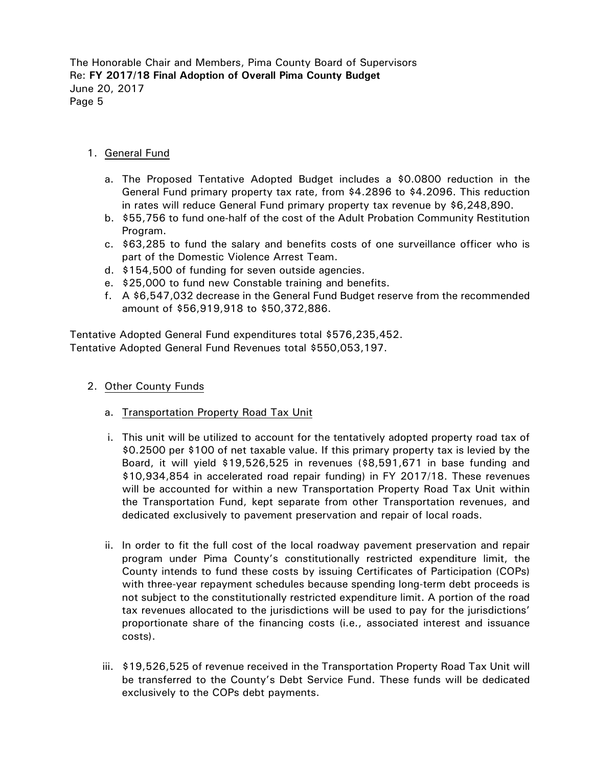## 1. General Fund

- a. The Proposed Tentative Adopted Budget includes a \$0.0800 reduction in the General Fund primary property tax rate, from \$4.2896 to \$4.2096. This reduction in rates will reduce General Fund primary property tax revenue by \$6,248,890.
- b. \$55,756 to fund one-half of the cost of the Adult Probation Community Restitution Program.
- c. \$63,285 to fund the salary and benefits costs of one surveillance officer who is part of the Domestic Violence Arrest Team.
- d. \$154,500 of funding for seven outside agencies.
- e. \$25,000 to fund new Constable training and benefits.
- f. A \$6,547,032 decrease in the General Fund Budget reserve from the recommended amount of \$56,919,918 to \$50,372,886.

Tentative Adopted General Fund expenditures total \$576,235,452. Tentative Adopted General Fund Revenues total \$550,053,197.

- 2. Other County Funds
	- a. Transportation Property Road Tax Unit
	- i. This unit will be utilized to account for the tentatively adopted property road tax of \$0.2500 per \$100 of net taxable value. If this primary property tax is levied by the Board, it will yield \$19,526,525 in revenues (\$8,591,671 in base funding and \$10,934,854 in accelerated road repair funding) in FY 2017/18. These revenues will be accounted for within a new Transportation Property Road Tax Unit within the Transportation Fund, kept separate from other Transportation revenues, and dedicated exclusively to pavement preservation and repair of local roads.
	- ii. In order to fit the full cost of the local roadway pavement preservation and repair program under Pima County's constitutionally restricted expenditure limit, the County intends to fund these costs by issuing Certificates of Participation (COPs) with three-year repayment schedules because spending long-term debt proceeds is not subject to the constitutionally restricted expenditure limit. A portion of the road tax revenues allocated to the jurisdictions will be used to pay for the jurisdictions' proportionate share of the financing costs (i.e., associated interest and issuance costs).
	- iii. \$19,526,525 of revenue received in the Transportation Property Road Tax Unit will be transferred to the County's Debt Service Fund. These funds will be dedicated exclusively to the COPs debt payments.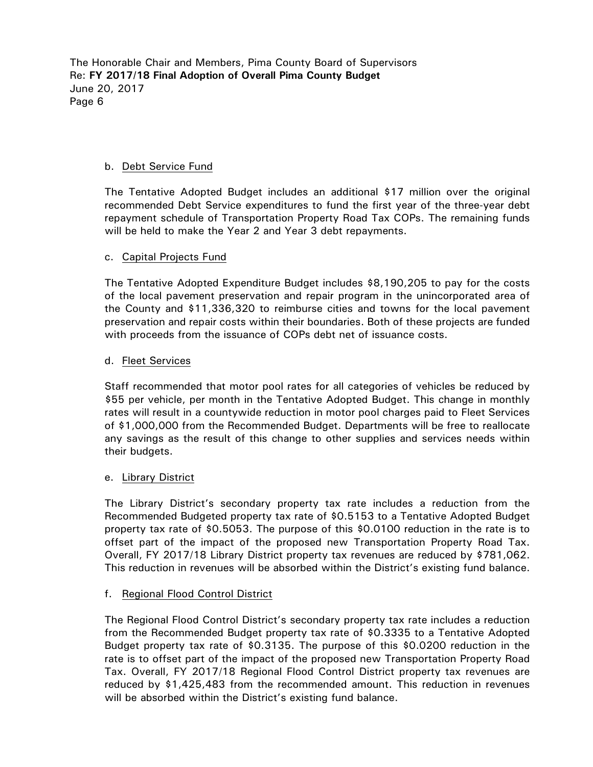#### b. Debt Service Fund

The Tentative Adopted Budget includes an additional \$17 million over the original recommended Debt Service expenditures to fund the first year of the three-year debt repayment schedule of Transportation Property Road Tax COPs. The remaining funds will be held to make the Year 2 and Year 3 debt repayments.

#### c. Capital Projects Fund

The Tentative Adopted Expenditure Budget includes \$8,190,205 to pay for the costs of the local pavement preservation and repair program in the unincorporated area of the County and \$11,336,320 to reimburse cities and towns for the local pavement preservation and repair costs within their boundaries. Both of these projects are funded with proceeds from the issuance of COPs debt net of issuance costs.

#### d. Fleet Services

Staff recommended that motor pool rates for all categories of vehicles be reduced by \$55 per vehicle, per month in the Tentative Adopted Budget. This change in monthly rates will result in a countywide reduction in motor pool charges paid to Fleet Services of \$1,000,000 from the Recommended Budget. Departments will be free to reallocate any savings as the result of this change to other supplies and services needs within their budgets.

## e. Library District

The Library District's secondary property tax rate includes a reduction from the Recommended Budgeted property tax rate of \$0.5153 to a Tentative Adopted Budget property tax rate of \$0.5053. The purpose of this \$0.0100 reduction in the rate is to offset part of the impact of the proposed new Transportation Property Road Tax. Overall, FY 2017/18 Library District property tax revenues are reduced by \$781,062. This reduction in revenues will be absorbed within the District's existing fund balance.

## f. Regional Flood Control District

The Regional Flood Control District's secondary property tax rate includes a reduction from the Recommended Budget property tax rate of \$0.3335 to a Tentative Adopted Budget property tax rate of \$0.3135. The purpose of this \$0.0200 reduction in the rate is to offset part of the impact of the proposed new Transportation Property Road Tax. Overall, FY 2017/18 Regional Flood Control District property tax revenues are reduced by \$1,425,483 from the recommended amount. This reduction in revenues will be absorbed within the District's existing fund balance.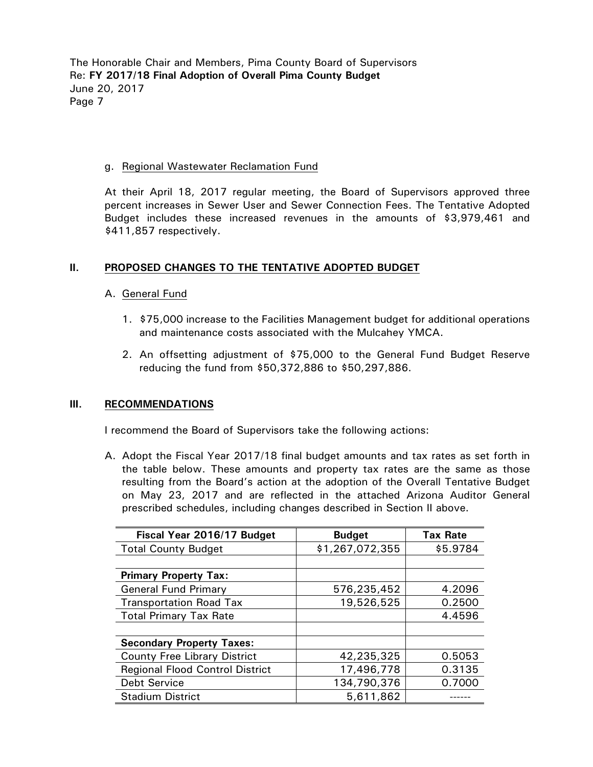## g. Regional Wastewater Reclamation Fund

At their April 18, 2017 regular meeting, the Board of Supervisors approved three percent increases in Sewer User and Sewer Connection Fees. The Tentative Adopted Budget includes these increased revenues in the amounts of \$3,979,461 and \$411,857 respectively.

## **II. PROPOSED CHANGES TO THE TENTATIVE ADOPTED BUDGET**

## A. General Fund

- 1. \$75,000 increase to the Facilities Management budget for additional operations and maintenance costs associated with the Mulcahey YMCA.
- 2. An offsetting adjustment of \$75,000 to the General Fund Budget Reserve reducing the fund from \$50,372,886 to \$50,297,886.

## **III. RECOMMENDATIONS**

I recommend the Board of Supervisors take the following actions:

A. Adopt the Fiscal Year 2017/18 final budget amounts and tax rates as set forth in the table below. These amounts and property tax rates are the same as those resulting from the Board's action at the adoption of the Overall Tentative Budget on May 23, 2017 and are reflected in the attached Arizona Auditor General prescribed schedules, including changes described in Section II above.

| Fiscal Year 2016/17 Budget             | <b>Budget</b>   | <b>Tax Rate</b> |
|----------------------------------------|-----------------|-----------------|
| <b>Total County Budget</b>             | \$1,267,072,355 | \$5.9784        |
|                                        |                 |                 |
| <b>Primary Property Tax:</b>           |                 |                 |
| <b>General Fund Primary</b>            | 576,235,452     | 4.2096          |
| <b>Transportation Road Tax</b>         | 19,526,525      | 0.2500          |
| <b>Total Primary Tax Rate</b>          |                 | 4.4596          |
|                                        |                 |                 |
| <b>Secondary Property Taxes:</b>       |                 |                 |
| <b>County Free Library District</b>    | 42,235,325      | 0.5053          |
| <b>Regional Flood Control District</b> | 17,496,778      | 0.3135          |
| <b>Debt Service</b>                    | 134,790,376     | 0.7000          |
| <b>Stadium District</b>                | 5,611,862       |                 |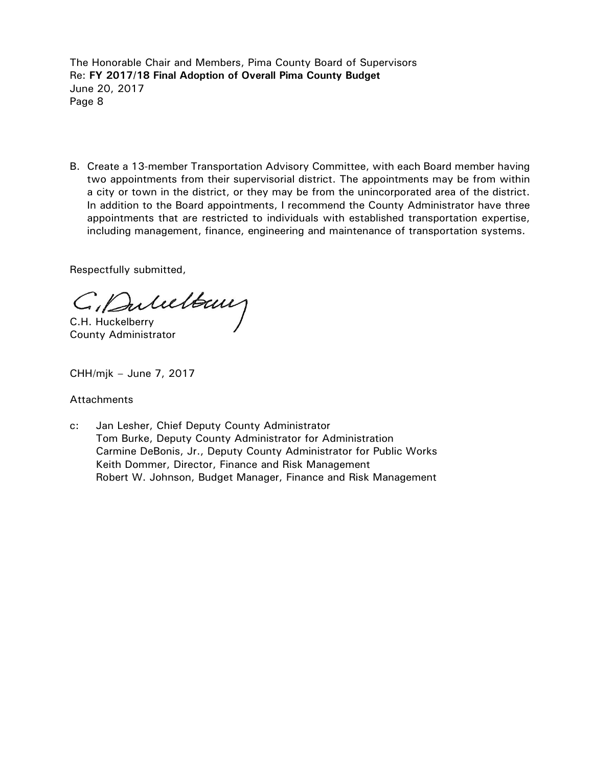B. Create a 13-member Transportation Advisory Committee, with each Board member having two appointments from their supervisorial district. The appointments may be from within a city or town in the district, or they may be from the unincorporated area of the district. In addition to the Board appointments, I recommend the County Administrator have three appointments that are restricted to individuals with established transportation expertise, including management, finance, engineering and maintenance of transportation systems.

Respectfully submitted,

C. Duluttany

County Administrator

CHH/mjk – June 7, 2017

## **Attachments**

c: Jan Lesher, Chief Deputy County Administrator Tom Burke, Deputy County Administrator for Administration Carmine DeBonis, Jr., Deputy County Administrator for Public Works Keith Dommer, Director, Finance and Risk Management Robert W. Johnson, Budget Manager, Finance and Risk Management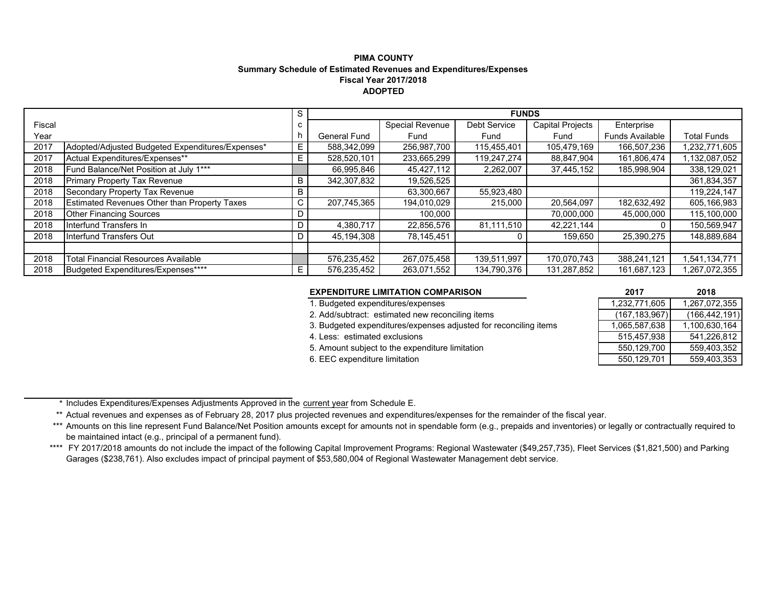#### **PIMA COUNTYSummary Schedule of Estimated Revenues and Expenditures/Expenses Fiscal Year 2017/2018ADOPTED**

|        |                                                     | S.           | <b>FUNDS</b>        |                 |                     |                         |                        |                    |
|--------|-----------------------------------------------------|--------------|---------------------|-----------------|---------------------|-------------------------|------------------------|--------------------|
| Fiscal |                                                     | C            |                     | Special Revenue | <b>Debt Service</b> | <b>Capital Projects</b> | Enterprise             |                    |
| Year   |                                                     |              | <b>General Fund</b> | Fund            | Fund                | Fund                    | <b>Funds Available</b> | <b>Total Funds</b> |
| 2017   | Adopted/Adjusted Budgeted Expenditures/Expenses*    | Е.           | 588,342,099         | 256,987,700     | 115,455,401         | 105,479,169             | 166,507,236            | 1,232,771,605      |
| 2017   | Actual Expenditures/Expenses**                      | E.           | 528,520,101         | 233,665,299     | 119,247,274         | 88,847,904              | 161,806,474            | 1,132,087,052      |
| 2018   | Fund Balance/Net Position at July 1***              |              | 66,995,846          | 45,427,112      | 2,262,007           | 37,445,152              | 185,998,904            | 338,129,021        |
| 2018   | Primary Property Tax Revenue                        | B            | 342,307,832         | 19,526,525      |                     |                         |                        | 361,834,357        |
| 2018   | Secondary Property Tax Revenue                      | B            |                     | 63,300,667      | 55,923,480          |                         |                        | 119,224,147        |
| 2018   | <b>Estimated Revenues Other than Property Taxes</b> | $\mathsf{C}$ | 207,745,365         | 194,010,029     | 215,000             | 20,564,097              | 182,632,492            | 605,166,983        |
| 2018   | <b>Other Financing Sources</b>                      | D            |                     | 100,000         |                     | 70,000,000              | 45,000,000             | 115,100,000        |
| 2018   | Interfund Transfers In                              | D            | 4,380,717           | 22,856,576      | 81,111,510          | 42.221.144              |                        | 150,569,947        |
| 2018   | Interfund Transfers Out                             | D            | 45,194,308          | 78,145,451      |                     | 159,650                 | 25,390,275             | 148,889,684        |
|        |                                                     |              |                     |                 |                     |                         |                        |                    |
| 2018   | Total Financial Resources Available                 |              | 576,235,452         | 267,075,458     | 139,511,997         | 170,070,743             | 388,241,121            | 1,541,134,771      |
| 2018   | Budgeted Expenditures/Expenses****                  | E.           | 576,235,452         | 263.071.552     | 134,790,376         | 131,287,852             | 161,687,123            | 1,267,072,355      |

#### **EXPENDITURE LIMITATION COMPARISON 2017 2018**

1. Budgeted expenditures/expenses

- 2. Add/subtract: estimated new reconciling items
- 3. Budgeted expenditures/expenses adjusted for reconciling items
- 4. Less: estimated exclusions
- 5. Amount subject to the expenditure limitation
- 6. EEC expenditure limitation

| 2017            | 2018            |
|-----------------|-----------------|
| 1,232,771,605   | 1,267,072,355   |
| (167, 183, 967) | (166, 442, 191) |
| 1,065,587,638   | 1,100,630,164   |
| 515,457,938     | 541,226,812     |
| 550,129,700     | 559,403,352     |
| 550,129,701     | 559,403,353     |

\* Includes Expenditures/Expenses Adjustments Approved in the <u>current year</u> from Schedule E.

\*\* Actual revenues and expenses as of February 28, 2017 plus projected revenues and expenditures/expenses for the remainder of the fiscal year.

\*\*\* Amounts on this line represent Fund Balance/Net Position amounts except for amounts not in spendable form (e.g., prepaids and inventories) or legally or contractually required to be maintained intact (e.g., principal of a permanent fund).

\*\*\*\* FY 2017/2018 amounts do not include the impact of the following Capital Improvement Programs: Regional Wastewater (\$49,257,735), Fleet Services (\$1,821,500) and Parking Garages (\$238,761). Also excludes impact of principal payment of \$53,580,004 of Regional Wastewater Management debt service.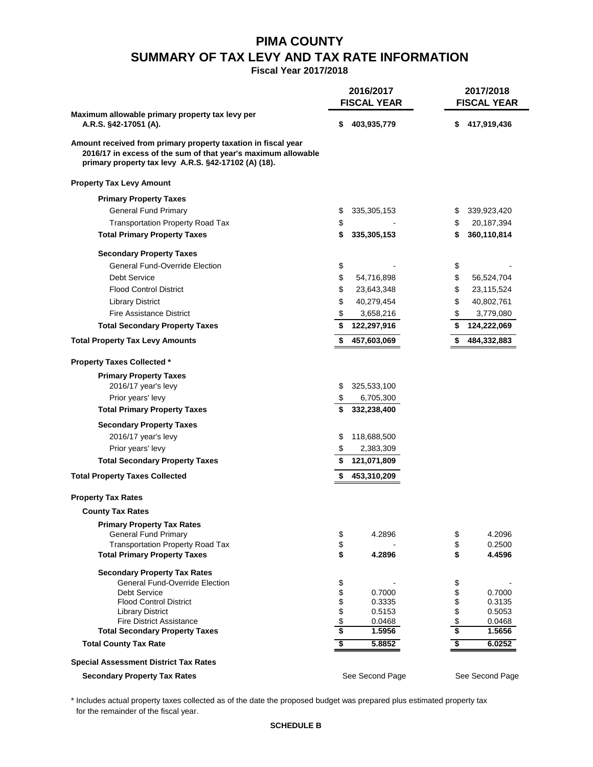# **PIMA COUNTY SUMMARY OF TAX LEVY AND TAX RATE INFORMATION**

**Fiscal Year 2017/2018**

|                                                                                                                                                                                        | 2016/2017 |                    | 2017/2018 |                    |
|----------------------------------------------------------------------------------------------------------------------------------------------------------------------------------------|-----------|--------------------|-----------|--------------------|
|                                                                                                                                                                                        |           | <b>FISCAL YEAR</b> |           | <b>FISCAL YEAR</b> |
| Maximum allowable primary property tax levy per                                                                                                                                        |           |                    |           |                    |
| A.R.S. §42-17051 (A).                                                                                                                                                                  | S         | 403,935,779        | \$        | 417,919,436        |
| Amount received from primary property taxation in fiscal year<br>2016/17 in excess of the sum of that year's maximum allowable<br>primary property tax levy A.R.S. §42-17102 (A) (18). |           |                    |           |                    |
| <b>Property Tax Levy Amount</b>                                                                                                                                                        |           |                    |           |                    |
| <b>Primary Property Taxes</b>                                                                                                                                                          |           |                    |           |                    |
| <b>General Fund Primary</b>                                                                                                                                                            | \$        | 335,305,153        | \$        | 339,923,420        |
| <b>Transportation Property Road Tax</b>                                                                                                                                                | \$        |                    | \$        | 20,187,394         |
| <b>Total Primary Property Taxes</b>                                                                                                                                                    | \$        | 335,305,153        | \$        | 360,110,814        |
| <b>Secondary Property Taxes</b>                                                                                                                                                        |           |                    |           |                    |
| <b>General Fund-Override Election</b>                                                                                                                                                  | \$        |                    | \$        |                    |
| <b>Debt Service</b>                                                                                                                                                                    | \$        | 54,716,898         | \$        | 56,524,704         |
| <b>Flood Control District</b>                                                                                                                                                          | \$        | 23,643,348         | \$        | 23,115,524         |
| <b>Library District</b>                                                                                                                                                                | \$        | 40,279,454         | \$        | 40,802,761         |
| <b>Fire Assistance District</b>                                                                                                                                                        | \$        | 3,658,216          | \$        | 3,779,080          |
| <b>Total Secondary Property Taxes</b>                                                                                                                                                  | \$        | 122,297,916        | \$        | 124,222,069        |
| <b>Total Property Tax Levy Amounts</b>                                                                                                                                                 | \$        | 457,603,069        | \$        | 484,332,883        |
|                                                                                                                                                                                        |           |                    |           |                    |
| <b>Property Taxes Collected *</b>                                                                                                                                                      |           |                    |           |                    |
| <b>Primary Property Taxes</b>                                                                                                                                                          |           |                    |           |                    |
| 2016/17 year's levy                                                                                                                                                                    | S         | 325,533,100        |           |                    |
| Prior years' levy                                                                                                                                                                      | \$        | 6,705,300          |           |                    |
| <b>Total Primary Property Taxes</b>                                                                                                                                                    |           | 332,238,400        |           |                    |
| <b>Secondary Property Taxes</b>                                                                                                                                                        |           |                    |           |                    |
| 2016/17 year's levy                                                                                                                                                                    | S         | 118,688,500        |           |                    |
| Prior years' levy                                                                                                                                                                      | \$        | 2,383,309          |           |                    |
| <b>Total Secondary Property Taxes</b>                                                                                                                                                  |           | 121,071,809        |           |                    |
| <b>Total Property Taxes Collected</b>                                                                                                                                                  | \$        | 453,310,209        |           |                    |
|                                                                                                                                                                                        |           |                    |           |                    |
| <b>Property Tax Rates</b>                                                                                                                                                              |           |                    |           |                    |
| <b>County Tax Rates</b>                                                                                                                                                                |           |                    |           |                    |
| <b>Primary Property Tax Rates</b>                                                                                                                                                      |           |                    |           |                    |
| <b>General Fund Primary</b>                                                                                                                                                            | \$        | 4.2896             | \$        | 4.2096             |
| <b>Transportation Property Road Tax</b><br><b>Total Primary Property Taxes</b>                                                                                                         | \$<br>\$  | 4.2896             | \$<br>\$  | 0.2500<br>4.4596   |
|                                                                                                                                                                                        |           |                    |           |                    |
| <b>Secondary Property Tax Rates</b>                                                                                                                                                    |           |                    |           |                    |
| <b>General Fund-Override Election</b>                                                                                                                                                  | \$        |                    | \$        |                    |
| <b>Debt Service</b>                                                                                                                                                                    | \$        | 0.7000             | \$        | 0.7000             |
| <b>Flood Control District</b><br><b>Library District</b>                                                                                                                               | \$        | 0.3335<br>0.5153   | \$        | 0.3135<br>0.5053   |
| <b>Fire District Assistance</b>                                                                                                                                                        | \$        | 0.0468             | \$        | 0.0468             |
| <b>Total Secondary Property Taxes</b>                                                                                                                                                  | \$        | 1.5956             | \$        | 1.5656             |
| <b>Total County Tax Rate</b>                                                                                                                                                           | \$        | 5.8852             | \$        | 6.0252             |
| <b>Special Assessment District Tax Rates</b>                                                                                                                                           |           |                    |           |                    |
| <b>Secondary Property Tax Rates</b>                                                                                                                                                    |           | See Second Page    |           | See Second Page    |
|                                                                                                                                                                                        |           |                    |           |                    |

\* Includes actual property taxes collected as of the date the proposed budget was prepared plus estimated property tax for the remainder of the fiscal year.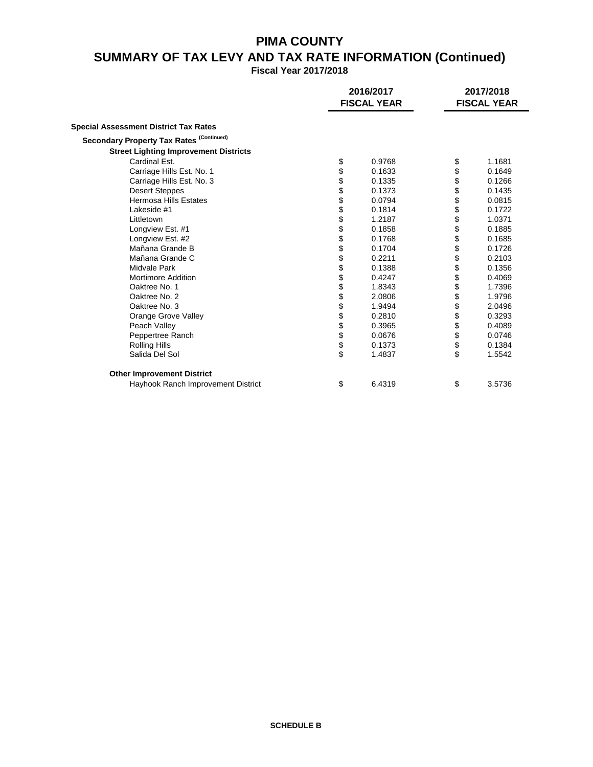# **PIMA COUNTY SUMMARY OF TAX LEVY AND TAX RATE INFORMATION (Continued)**

**Fiscal Year 2017/2018**

|                                              | 2016/2017<br><b>FISCAL YEAR</b> |        | 2017/2018<br><b>FISCAL YEAR</b> |
|----------------------------------------------|---------------------------------|--------|---------------------------------|
| <b>Special Assessment District Tax Rates</b> |                                 |        |                                 |
| Secondary Property Tax Rates (Continued)     |                                 |        |                                 |
| <b>Street Lighting Improvement Districts</b> |                                 |        |                                 |
| Cardinal Est.                                | \$                              | 0.9768 | \$<br>1.1681                    |
| Carriage Hills Est. No. 1                    | \$                              | 0.1633 | \$<br>0.1649                    |
| Carriage Hills Est. No. 3                    | \$                              | 0.1335 | \$<br>0.1266                    |
| <b>Desert Steppes</b>                        | \$                              | 0.1373 | \$<br>0.1435                    |
| Hermosa Hills Estates                        | \$                              | 0.0794 | \$<br>0.0815                    |
| Lakeside #1                                  | \$                              | 0.1814 | 0.1722                          |
| Littletown                                   | \$                              | 1.2187 | \$<br>1.0371                    |
| Longview Est. #1                             | \$                              | 0.1858 | \$<br>0.1885                    |
| Longview Est. #2                             | \$                              | 0.1768 | \$<br>0.1685                    |
| Mañana Grande B                              | \$                              | 0.1704 | \$<br>0.1726                    |
| Mañana Grande C                              | \$                              | 0.2211 | \$<br>0.2103                    |
| Midvale Park                                 | \$                              | 0.1388 | \$<br>0.1356                    |
| <b>Mortimore Addition</b>                    | \$                              | 0.4247 | \$<br>0.4069                    |
| Oaktree No. 1                                | \$                              | 1.8343 | \$<br>1.7396                    |
| Oaktree No. 2                                | \$                              | 2.0806 | \$<br>1.9796                    |
| Oaktree No. 3                                | \$                              | 1.9494 | \$<br>2.0496                    |
| Orange Grove Valley                          | \$                              | 0.2810 | \$<br>0.3293                    |
| Peach Valley                                 | \$                              | 0.3965 | 0.4089                          |
| Peppertree Ranch                             | \$                              | 0.0676 | \$<br>0.0746                    |
| <b>Rolling Hills</b>                         | \$                              | 0.1373 | \$<br>0.1384                    |
| Salida Del Sol                               | \$                              | 1.4837 | \$<br>1.5542                    |
| <b>Other Improvement District</b>            |                                 |        |                                 |
| Hayhook Ranch Improvement District           | \$                              | 6.4319 | \$<br>3.5736                    |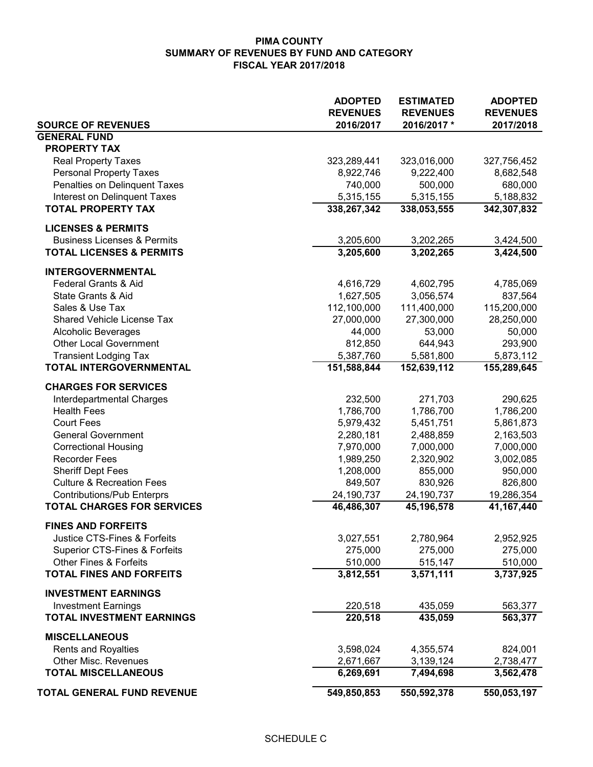|                                                           | <b>ADOPTED</b><br><b>REVENUES</b> | <b>ESTIMATED</b><br><b>REVENUES</b> | <b>ADOPTED</b><br><b>REVENUES</b> |
|-----------------------------------------------------------|-----------------------------------|-------------------------------------|-----------------------------------|
| <b>SOURCE OF REVENUES</b>                                 | 2016/2017                         | 2016/2017*                          | 2017/2018                         |
| <b>GENERAL FUND</b>                                       |                                   |                                     |                                   |
| <b>PROPERTY TAX</b>                                       |                                   |                                     |                                   |
| <b>Real Property Taxes</b>                                | 323,289,441                       | 323,016,000                         | 327,756,452                       |
| <b>Personal Property Taxes</b>                            | 8,922,746                         | 9,222,400                           | 8,682,548                         |
| Penalties on Delinquent Taxes                             | 740,000                           | 500,000                             | 680,000                           |
| Interest on Delinquent Taxes<br><b>TOTAL PROPERTY TAX</b> | 5,315,155<br>338,267,342          | 5,315,155<br>338,053,555            | 5,188,832                         |
|                                                           |                                   |                                     | 342,307,832                       |
| <b>LICENSES &amp; PERMITS</b>                             |                                   |                                     |                                   |
| <b>Business Licenses &amp; Permits</b>                    | 3,205,600                         | 3,202,265                           | 3,424,500                         |
| <b>TOTAL LICENSES &amp; PERMITS</b>                       | 3,205,600                         | 3,202,265                           | 3,424,500                         |
| <b>INTERGOVERNMENTAL</b>                                  |                                   |                                     |                                   |
| Federal Grants & Aid                                      | 4,616,729                         | 4,602,795                           | 4,785,069                         |
| State Grants & Aid                                        | 1,627,505                         | 3,056,574                           | 837,564                           |
| Sales & Use Tax                                           | 112,100,000                       | 111,400,000                         | 115,200,000                       |
| Shared Vehicle License Tax                                | 27,000,000                        | 27,300,000                          | 28,250,000                        |
| Alcoholic Beverages                                       | 44,000                            | 53,000                              | 50,000                            |
| <b>Other Local Government</b>                             | 812,850                           | 644,943                             | 293,900                           |
| <b>Transient Lodging Tax</b><br>TOTAL INTERGOVERNMENTAL   | 5,387,760<br>151,588,844          | 5,581,800<br>152,639,112            | 5,873,112<br>155,289,645          |
|                                                           |                                   |                                     |                                   |
| <b>CHARGES FOR SERVICES</b>                               |                                   |                                     |                                   |
| Interdepartmental Charges                                 | 232,500                           | 271,703                             | 290,625                           |
| <b>Health Fees</b>                                        | 1,786,700                         | 1,786,700                           | 1,786,200                         |
| <b>Court Fees</b>                                         | 5,979,432                         | 5,451,751                           | 5,861,873                         |
| <b>General Government</b>                                 | 2,280,181                         | 2,488,859                           | 2,163,503<br>7,000,000            |
| <b>Correctional Housing</b><br><b>Recorder Fees</b>       | 7,970,000<br>1,989,250            | 7,000,000<br>2,320,902              | 3,002,085                         |
| <b>Sheriff Dept Fees</b>                                  | 1,208,000                         | 855,000                             | 950,000                           |
| <b>Culture &amp; Recreation Fees</b>                      | 849,507                           | 830,926                             | 826,800                           |
| <b>Contributions/Pub Enterprs</b>                         | 24,190,737                        | 24,190,737                          | 19,286,354                        |
| <b>TOTAL CHARGES FOR SERVICES</b>                         | 46,486,307                        | 45,196,578                          | 41,167,440                        |
| <b>FINES AND FORFEITS</b>                                 |                                   |                                     |                                   |
| Justice CTS-Fines & Forfeits                              | 3,027,551                         | 2,780,964                           | 2,952,925                         |
| Superior CTS-Fines & Forfeits                             | 275,000                           | 275,000                             | 275,000                           |
| <b>Other Fines &amp; Forfeits</b>                         | 510,000                           | 515,147                             | 510,000                           |
| <b>TOTAL FINES AND FORFEITS</b>                           | 3,812,551                         | 3,571,111                           | 3,737,925                         |
| <b>INVESTMENT EARNINGS</b>                                |                                   |                                     |                                   |
| <b>Investment Earnings</b>                                | 220,518                           | 435,059                             | 563,377                           |
| <b>TOTAL INVESTMENT EARNINGS</b>                          | 220,518                           | 435,059                             | 563,377                           |
| <b>MISCELLANEOUS</b>                                      |                                   |                                     |                                   |
| <b>Rents and Royalties</b>                                | 3,598,024                         | 4,355,574                           | 824,001                           |
| <b>Other Misc. Revenues</b>                               | 2,671,667                         | 3,139,124                           | 2,738,477                         |
| <b>TOTAL MISCELLANEOUS</b>                                | 6,269,691                         | 7,494,698                           | 3,562,478                         |
| <b>TOTAL GENERAL FUND REVENUE</b>                         | 549,850,853                       | 550,592,378                         | 550,053,197                       |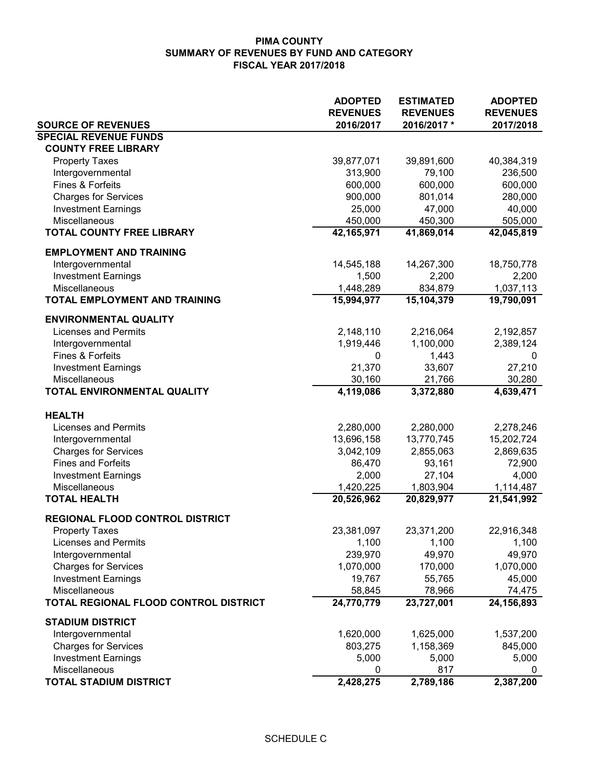|                                                       | <b>ADOPTED</b>               | <b>ESTIMATED</b>              | <b>ADOPTED</b>               |
|-------------------------------------------------------|------------------------------|-------------------------------|------------------------------|
| <b>SOURCE OF REVENUES</b>                             | <b>REVENUES</b><br>2016/2017 | <b>REVENUES</b><br>2016/2017* | <b>REVENUES</b><br>2017/2018 |
| <b>SPECIAL REVENUE FUNDS</b>                          |                              |                               |                              |
| <b>COUNTY FREE LIBRARY</b>                            |                              |                               |                              |
| <b>Property Taxes</b>                                 | 39,877,071                   | 39,891,600                    | 40,384,319                   |
| Intergovernmental                                     | 313,900                      | 79,100                        | 236,500                      |
| Fines & Forfeits                                      | 600,000                      | 600,000                       | 600,000                      |
| <b>Charges for Services</b>                           | 900,000                      | 801,014                       | 280,000                      |
| <b>Investment Earnings</b>                            | 25,000                       | 47,000                        | 40,000                       |
| Miscellaneous                                         | 450,000                      | 450,300                       | 505,000                      |
| <b>TOTAL COUNTY FREE LIBRARY</b>                      | 42,165,971                   | 41,869,014                    | 42,045,819                   |
|                                                       |                              |                               |                              |
| <b>EMPLOYMENT AND TRAINING</b>                        |                              |                               |                              |
| Intergovernmental                                     | 14,545,188                   | 14,267,300                    | 18,750,778                   |
| <b>Investment Earnings</b>                            | 1,500                        | 2,200                         | 2,200                        |
| Miscellaneous<br><b>TOTAL EMPLOYMENT AND TRAINING</b> | 1,448,289<br>15,994,977      | 834,879<br>15,104,379         | 1,037,113<br>19,790,091      |
|                                                       |                              |                               |                              |
| <b>ENVIRONMENTAL QUALITY</b>                          |                              |                               |                              |
| <b>Licenses and Permits</b>                           | 2,148,110                    | 2,216,064                     | 2,192,857                    |
| Intergovernmental                                     | 1,919,446                    | 1,100,000                     | 2,389,124                    |
| Fines & Forfeits                                      | 0                            | 1,443                         | 0                            |
| <b>Investment Earnings</b>                            | 21,370                       | 33,607                        | 27,210                       |
| Miscellaneous                                         | 30,160                       | 21,766                        | 30,280                       |
| TOTAL ENVIRONMENTAL QUALITY                           | 4,119,086                    | 3,372,880                     | 4,639,471                    |
| <b>HEALTH</b>                                         |                              |                               |                              |
| <b>Licenses and Permits</b>                           | 2,280,000                    | 2,280,000                     | 2,278,246                    |
| Intergovernmental                                     | 13,696,158                   | 13,770,745                    | 15,202,724                   |
| <b>Charges for Services</b>                           | 3,042,109                    | 2,855,063                     | 2,869,635                    |
| <b>Fines and Forfeits</b>                             | 86,470                       | 93,161                        | 72,900                       |
| <b>Investment Earnings</b>                            | 2,000                        | 27,104                        | 4,000                        |
| Miscellaneous                                         | 1,420,225                    | 1,803,904                     | 1,114,487                    |
| <b>TOTAL HEALTH</b>                                   | 20,526,962                   | 20,829,977                    | $\overline{21,541,992}$      |
| <b>REGIONAL FLOOD CONTROL DISTRICT</b>                |                              |                               |                              |
| <b>Property Taxes</b>                                 | 23,381,097                   | 23,371,200                    | 22,916,348                   |
| <b>Licenses and Permits</b>                           | 1,100                        | 1,100                         | 1,100                        |
| Intergovernmental                                     | 239,970                      | 49,970                        | 49,970                       |
| <b>Charges for Services</b>                           | 1,070,000                    | 170,000                       | 1,070,000                    |
| <b>Investment Earnings</b>                            | 19,767                       | 55,765                        | 45,000                       |
| Miscellaneous                                         | 58,845                       | 78,966                        | 74,475                       |
| TOTAL REGIONAL FLOOD CONTROL DISTRICT                 | 24,770,779                   | 23,727,001                    | 24,156,893                   |
|                                                       |                              |                               |                              |
| <b>STADIUM DISTRICT</b><br>Intergovernmental          | 1,620,000                    | 1,625,000                     | 1,537,200                    |
| <b>Charges for Services</b>                           | 803,275                      | 1,158,369                     | 845,000                      |
| <b>Investment Earnings</b>                            | 5,000                        | 5,000                         | 5,000                        |
| Miscellaneous                                         | 0                            | 817                           | 0                            |
| <b>TOTAL STADIUM DISTRICT</b>                         | 2,428,275                    | 2,789,186                     | 2,387,200                    |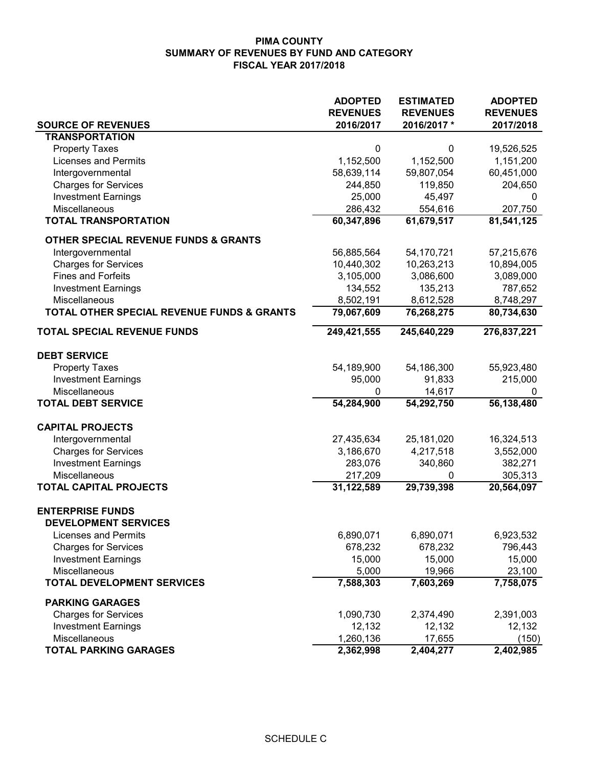|                                            | <b>ADOPTED</b>  | <b>ESTIMATED</b> | <b>ADOPTED</b>  |
|--------------------------------------------|-----------------|------------------|-----------------|
| <b>SOURCE OF REVENUES</b>                  | <b>REVENUES</b> | <b>REVENUES</b>  | <b>REVENUES</b> |
| <b>TRANSPORTATION</b>                      | 2016/2017       | 2016/2017*       | 2017/2018       |
| <b>Property Taxes</b>                      | 0               | 0                | 19,526,525      |
| <b>Licenses and Permits</b>                | 1,152,500       | 1,152,500        | 1,151,200       |
| Intergovernmental                          | 58,639,114      | 59,807,054       | 60,451,000      |
| <b>Charges for Services</b>                | 244,850         | 119,850          | 204,650         |
| <b>Investment Earnings</b>                 | 25,000          | 45,497           | 0               |
| <b>Miscellaneous</b>                       | 286,432         | 554,616          | 207,750         |
| <b>TOTAL TRANSPORTATION</b>                | 60,347,896      | 61,679,517       | 81,541,125      |
| OTHER SPECIAL REVENUE FUNDS & GRANTS       |                 |                  |                 |
| Intergovernmental                          | 56,885,564      | 54,170,721       | 57,215,676      |
| <b>Charges for Services</b>                | 10,440,302      | 10,263,213       | 10,894,005      |
| <b>Fines and Forfeits</b>                  | 3,105,000       | 3,086,600        | 3,089,000       |
| <b>Investment Earnings</b>                 | 134,552         | 135,213          | 787,652         |
| Miscellaneous                              | 8,502,191       | 8,612,528        | 8,748,297       |
| TOTAL OTHER SPECIAL REVENUE FUNDS & GRANTS | 79,067,609      | 76,268,275       | 80,734,630      |
| <b>TOTAL SPECIAL REVENUE FUNDS</b>         | 249,421,555     | 245,640,229      | 276,837,221     |
| <b>DEBT SERVICE</b>                        |                 |                  |                 |
| <b>Property Taxes</b>                      | 54,189,900      | 54,186,300       | 55,923,480      |
| <b>Investment Earnings</b>                 | 95,000          | 91,833           | 215,000         |
| Miscellaneous                              | 0               | 14,617           | 0               |
| <b>TOTAL DEBT SERVICE</b>                  | 54,284,900      | 54,292,750       | 56,138,480      |
| <b>CAPITAL PROJECTS</b>                    |                 |                  |                 |
| Intergovernmental                          | 27,435,634      | 25,181,020       | 16,324,513      |
| <b>Charges for Services</b>                | 3,186,670       | 4,217,518        | 3,552,000       |
| <b>Investment Earnings</b>                 | 283,076         | 340,860          | 382,271         |
| Miscellaneous                              | 217,209         | 0                | 305,313         |
| <b>TOTAL CAPITAL PROJECTS</b>              | 31,122,589      | 29,739,398       | 20,564,097      |
| <b>ENTERPRISE FUNDS</b>                    |                 |                  |                 |
| <b>DEVELOPMENT SERVICES</b>                |                 |                  |                 |
| <b>Licenses and Permits</b>                | 6,890,071       | 6,890,071        | 6,923,532       |
| <b>Charges for Services</b>                | 678,232         | 678,232          | 796,443         |
| <b>Investment Earnings</b>                 | 15,000          | 15,000           | 15,000          |
| Miscellaneous                              | 5,000           | 19,966           | 23,100          |
| <b>TOTAL DEVELOPMENT SERVICES</b>          | 7,588,303       | 7,603,269        | 7,758,075       |
| <b>PARKING GARAGES</b>                     |                 |                  |                 |
| <b>Charges for Services</b>                | 1,090,730       | 2,374,490        | 2,391,003       |
| <b>Investment Earnings</b>                 | 12,132          | 12,132           | 12,132          |
| Miscellaneous                              | 1,260,136       | 17,655           | (150)           |
| <b>TOTAL PARKING GARAGES</b>               | 2,362,998       | 2,404,277        | 2,402,985       |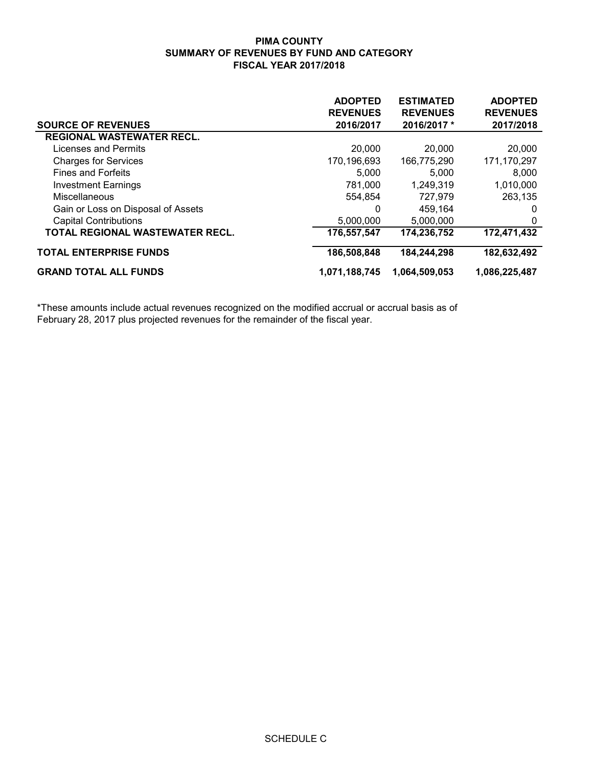| <b>SOURCE OF REVENUES</b>              | <b>ADOPTED</b><br><b>REVENUES</b><br>2016/2017 | <b>ESTIMATED</b><br><b>REVENUES</b><br>2016/2017 * | <b>ADOPTED</b><br><b>REVENUES</b><br>2017/2018 |
|----------------------------------------|------------------------------------------------|----------------------------------------------------|------------------------------------------------|
| <b>REGIONAL WASTEWATER RECL.</b>       |                                                |                                                    |                                                |
| Licenses and Permits                   | 20,000                                         | 20,000                                             | 20,000                                         |
| <b>Charges for Services</b>            | 170,196,693                                    | 166,775,290                                        | 171,170,297                                    |
| <b>Fines and Forfeits</b>              | 5,000                                          | 5.000                                              | 8,000                                          |
| <b>Investment Earnings</b>             | 781,000                                        | 1,249,319                                          | 1,010,000                                      |
| <b>Miscellaneous</b>                   | 554,854                                        | 727,979                                            | 263,135                                        |
| Gain or Loss on Disposal of Assets     | 0                                              | 459.164                                            | 0                                              |
| <b>Capital Contributions</b>           | 5,000,000                                      | 5,000,000                                          | 0                                              |
| <b>TOTAL REGIONAL WASTEWATER RECL.</b> | 176,557,547                                    | 174,236,752                                        | 172,471,432                                    |
| <b>TOTAL ENTERPRISE FUNDS</b>          | 186,508,848                                    | 184,244,298                                        | 182,632,492                                    |
| <b>GRAND TOTAL ALL FUNDS</b>           | 1,071,188,745                                  | 1,064,509,053                                      | 1,086,225,487                                  |

\*These amounts include actual revenues recognized on the modified accrual or accrual basis as of February 28, 2017 plus projected revenues for the remainder of the fiscal year.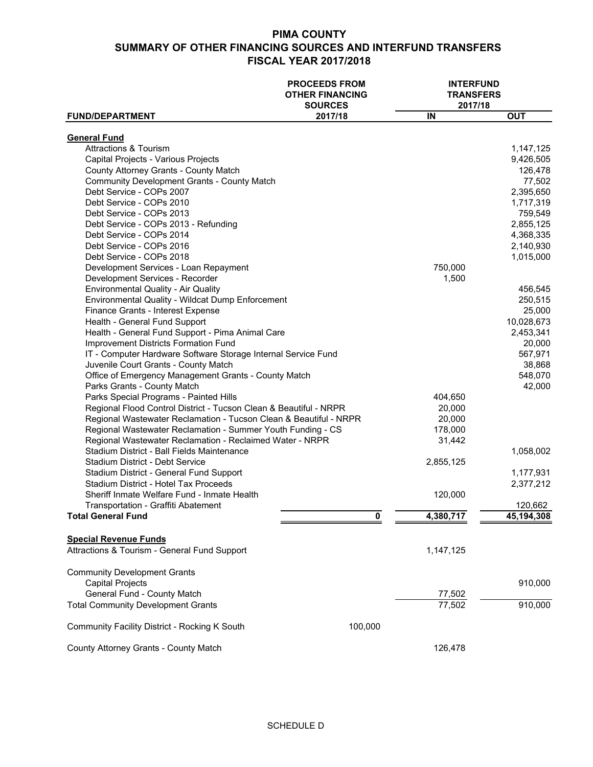|                                                                                   | <b>PROCEEDS FROM</b><br><b>OTHER FINANCING</b><br><b>SOURCES</b> | <b>INTERFUND</b><br><b>TRANSFERS</b><br>2017/18 |                        |
|-----------------------------------------------------------------------------------|------------------------------------------------------------------|-------------------------------------------------|------------------------|
| <b>FUND/DEPARTMENT</b>                                                            | 2017/18                                                          | IN                                              | <b>OUT</b>             |
| <b>General Fund</b>                                                               |                                                                  |                                                 |                        |
| <b>Attractions &amp; Tourism</b>                                                  |                                                                  |                                                 | 1,147,125              |
| Capital Projects - Various Projects                                               |                                                                  |                                                 | 9,426,505              |
| County Attorney Grants - County Match                                             |                                                                  |                                                 | 126,478                |
| <b>Community Development Grants - County Match</b>                                |                                                                  |                                                 | 77,502                 |
| Debt Service - COPs 2007                                                          |                                                                  |                                                 | 2,395,650              |
| Debt Service - COPs 2010                                                          |                                                                  |                                                 | 1,717,319              |
| Debt Service - COPs 2013                                                          |                                                                  |                                                 | 759,549                |
|                                                                                   |                                                                  |                                                 |                        |
| Debt Service - COPs 2013 - Refunding                                              |                                                                  |                                                 | 2,855,125              |
| Debt Service - COPs 2014                                                          |                                                                  |                                                 | 4,368,335              |
| Debt Service - COPs 2016                                                          |                                                                  |                                                 | 2,140,930              |
| Debt Service - COPs 2018                                                          |                                                                  |                                                 | 1,015,000              |
| Development Services - Loan Repayment                                             |                                                                  | 750,000                                         |                        |
| Development Services - Recorder                                                   |                                                                  | 1,500                                           |                        |
| <b>Environmental Quality - Air Quality</b>                                        |                                                                  |                                                 | 456,545                |
| Environmental Quality - Wildcat Dump Enforcement                                  |                                                                  |                                                 | 250,515                |
| Finance Grants - Interest Expense                                                 |                                                                  |                                                 | 25,000                 |
| Health - General Fund Support                                                     |                                                                  |                                                 | 10,028,673             |
| Health - General Fund Support - Pima Animal Care                                  |                                                                  |                                                 | 2,453,341              |
| <b>Improvement Districts Formation Fund</b>                                       |                                                                  |                                                 | 20,000                 |
| IT - Computer Hardware Software Storage Internal Service Fund                     |                                                                  |                                                 | 567,971                |
| Juvenile Court Grants - County Match                                              |                                                                  |                                                 | 38,868                 |
| Office of Emergency Management Grants - County Match                              |                                                                  |                                                 | 548,070                |
| Parks Grants - County Match                                                       |                                                                  |                                                 | 42,000                 |
| Parks Special Programs - Painted Hills                                            |                                                                  | 404,650                                         |                        |
| Regional Flood Control District - Tucson Clean & Beautiful - NRPR                 |                                                                  | 20,000                                          |                        |
| Regional Wastewater Reclamation - Tucson Clean & Beautiful - NRPR                 |                                                                  | 20,000                                          |                        |
| Regional Wastewater Reclamation - Summer Youth Funding - CS                       |                                                                  | 178,000                                         |                        |
| Regional Wastewater Reclamation - Reclaimed Water - NRPR                          |                                                                  | 31,442                                          |                        |
| Stadium District - Ball Fields Maintenance                                        |                                                                  |                                                 | 1,058,002              |
| <b>Stadium District - Debt Service</b><br>Stadium District - General Fund Support |                                                                  | 2,855,125                                       |                        |
| Stadium District - Hotel Tax Proceeds                                             |                                                                  |                                                 | 1,177,931<br>2,377,212 |
| Sheriff Inmate Welfare Fund - Inmate Health                                       |                                                                  | 120,000                                         |                        |
| Transportation - Graffiti Abatement                                               |                                                                  |                                                 | 120,662                |
| <b>Total General Fund</b>                                                         | 0                                                                | 4,380,717                                       | 45, 194, 308           |
|                                                                                   |                                                                  |                                                 |                        |
| <b>Special Revenue Funds</b>                                                      |                                                                  |                                                 |                        |
| Attractions & Tourism - General Fund Support                                      |                                                                  | 1,147,125                                       |                        |
| <b>Community Development Grants</b>                                               |                                                                  |                                                 |                        |
| <b>Capital Projects</b>                                                           |                                                                  |                                                 | 910,000                |
| General Fund - County Match                                                       |                                                                  | 77,502                                          |                        |
| <b>Total Community Development Grants</b>                                         |                                                                  | 77,502                                          | 910,000                |
| Community Facility District - Rocking K South                                     | 100,000                                                          |                                                 |                        |
|                                                                                   |                                                                  |                                                 |                        |
| County Attorney Grants - County Match                                             |                                                                  | 126,478                                         |                        |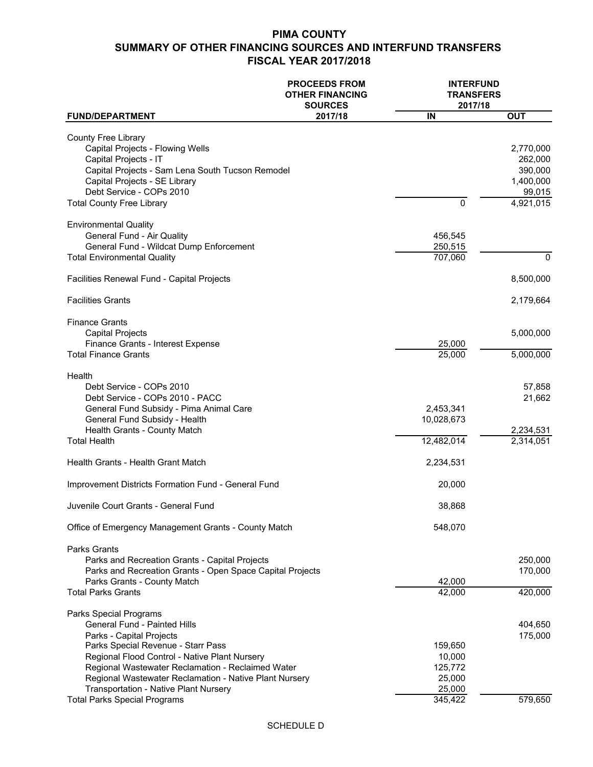|                                                                                                                                                                                                                                                                                                                                                                                 | <b>PROCEEDS FROM</b><br><b>OTHER FINANCING</b><br><b>SOURCES</b> | <b>INTERFUND</b><br><b>TRANSFERS</b><br>2017/18             |                                                                     |
|---------------------------------------------------------------------------------------------------------------------------------------------------------------------------------------------------------------------------------------------------------------------------------------------------------------------------------------------------------------------------------|------------------------------------------------------------------|-------------------------------------------------------------|---------------------------------------------------------------------|
| <b>FUND/DEPARTMENT</b>                                                                                                                                                                                                                                                                                                                                                          | 2017/18                                                          | IN                                                          | <b>OUT</b>                                                          |
| <b>County Free Library</b><br>Capital Projects - Flowing Wells<br>Capital Projects - IT<br>Capital Projects - Sam Lena South Tucson Remodel<br>Capital Projects - SE Library<br>Debt Service - COPs 2010<br><b>Total County Free Library</b>                                                                                                                                    |                                                                  | 0                                                           | 2,770,000<br>262,000<br>390,000<br>1,400,000<br>99,015<br>4,921,015 |
| <b>Environmental Quality</b><br>General Fund - Air Quality<br>General Fund - Wildcat Dump Enforcement<br><b>Total Environmental Quality</b>                                                                                                                                                                                                                                     |                                                                  | 456,545<br>250,515<br>707,060                               | $\mathbf{0}$                                                        |
|                                                                                                                                                                                                                                                                                                                                                                                 |                                                                  |                                                             |                                                                     |
| Facilities Renewal Fund - Capital Projects                                                                                                                                                                                                                                                                                                                                      |                                                                  |                                                             | 8,500,000                                                           |
| <b>Facilities Grants</b>                                                                                                                                                                                                                                                                                                                                                        |                                                                  |                                                             | 2,179,664                                                           |
| <b>Finance Grants</b><br><b>Capital Projects</b><br>Finance Grants - Interest Expense<br><b>Total Finance Grants</b>                                                                                                                                                                                                                                                            |                                                                  | 25,000                                                      | 5,000,000                                                           |
|                                                                                                                                                                                                                                                                                                                                                                                 |                                                                  | 25,000                                                      | 5,000,000                                                           |
| Health<br>Debt Service - COPs 2010<br>Debt Service - COPs 2010 - PACC<br>General Fund Subsidy - Pima Animal Care<br>General Fund Subsidy - Health<br>Health Grants - County Match<br><b>Total Health</b>                                                                                                                                                                        |                                                                  | 2,453,341<br>10,028,673<br>12,482,014                       | 57,858<br>21,662<br>2,234,531<br>2,314,051                          |
| Health Grants - Health Grant Match                                                                                                                                                                                                                                                                                                                                              |                                                                  | 2,234,531                                                   |                                                                     |
| Improvement Districts Formation Fund - General Fund                                                                                                                                                                                                                                                                                                                             |                                                                  | 20,000                                                      |                                                                     |
| Juvenile Court Grants - General Fund                                                                                                                                                                                                                                                                                                                                            |                                                                  | 38,868                                                      |                                                                     |
| Office of Emergency Management Grants - County Match                                                                                                                                                                                                                                                                                                                            |                                                                  | 548,070                                                     |                                                                     |
| <b>Parks Grants</b><br>Parks and Recreation Grants - Capital Projects<br>Parks and Recreation Grants - Open Space Capital Projects<br>Parks Grants - County Match<br><b>Total Parks Grants</b>                                                                                                                                                                                  |                                                                  | 42,000<br>42,000                                            | 250,000<br>170,000<br>420,000                                       |
| Parks Special Programs<br><b>General Fund - Painted Hills</b><br>Parks - Capital Projects<br>Parks Special Revenue - Starr Pass<br>Regional Flood Control - Native Plant Nursery<br>Regional Wastewater Reclamation - Reclaimed Water<br>Regional Wastewater Reclamation - Native Plant Nursery<br>Transportation - Native Plant Nursery<br><b>Total Parks Special Programs</b> |                                                                  | 159,650<br>10,000<br>125,772<br>25,000<br>25,000<br>345,422 | 404,650<br>175,000<br>579,650                                       |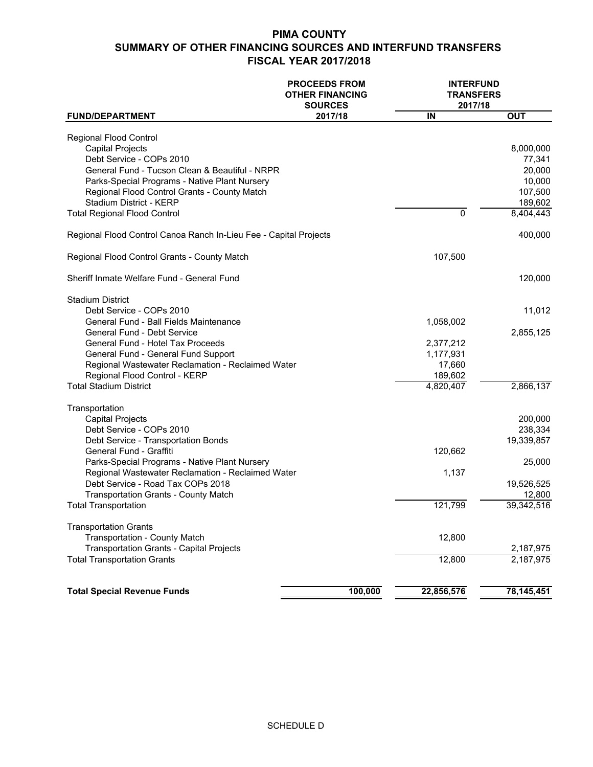|                                                                   | <b>PROCEEDS FROM</b><br><b>OTHER FINANCING</b><br><b>SOURCES</b> | <b>INTERFUND</b><br><b>TRANSFERS</b><br>2017/18 |              |
|-------------------------------------------------------------------|------------------------------------------------------------------|-------------------------------------------------|--------------|
| <b>FUND/DEPARTMENT</b>                                            | 2017/18                                                          | IN                                              | <b>OUT</b>   |
| <b>Regional Flood Control</b>                                     |                                                                  |                                                 |              |
| <b>Capital Projects</b>                                           |                                                                  |                                                 | 8,000,000    |
| Debt Service - COPs 2010                                          |                                                                  |                                                 | 77,341       |
| General Fund - Tucson Clean & Beautiful - NRPR                    |                                                                  |                                                 | 20,000       |
| Parks-Special Programs - Native Plant Nursery                     |                                                                  |                                                 | 10,000       |
| Regional Flood Control Grants - County Match                      |                                                                  |                                                 | 107,500      |
| Stadium District - KERP                                           |                                                                  |                                                 | 189,602      |
| <b>Total Regional Flood Control</b>                               |                                                                  | $\Omega$                                        | 8,404,443    |
| Regional Flood Control Canoa Ranch In-Lieu Fee - Capital Projects |                                                                  |                                                 | 400,000      |
| Regional Flood Control Grants - County Match                      |                                                                  | 107,500                                         |              |
| Sheriff Inmate Welfare Fund - General Fund                        |                                                                  |                                                 | 120,000      |
|                                                                   |                                                                  |                                                 |              |
| <b>Stadium District</b>                                           |                                                                  |                                                 |              |
| Debt Service - COPs 2010                                          |                                                                  |                                                 | 11,012       |
| General Fund - Ball Fields Maintenance                            |                                                                  | 1,058,002                                       |              |
| <b>General Fund - Debt Service</b>                                |                                                                  |                                                 | 2,855,125    |
| General Fund - Hotel Tax Proceeds                                 |                                                                  | 2,377,212                                       |              |
| General Fund - General Fund Support                               |                                                                  | 1,177,931                                       |              |
| Regional Wastewater Reclamation - Reclaimed Water                 |                                                                  | 17,660                                          |              |
| Regional Flood Control - KERP                                     |                                                                  | 189,602                                         |              |
| <b>Total Stadium District</b>                                     |                                                                  | 4,820,407                                       | 2,866,137    |
| Transportation                                                    |                                                                  |                                                 |              |
| <b>Capital Projects</b>                                           |                                                                  |                                                 | 200,000      |
| Debt Service - COPs 2010                                          |                                                                  |                                                 | 238,334      |
| Debt Service - Transportation Bonds                               |                                                                  |                                                 | 19,339,857   |
| General Fund - Graffiti                                           |                                                                  | 120,662                                         |              |
| Parks-Special Programs - Native Plant Nursery                     |                                                                  |                                                 | 25,000       |
| Regional Wastewater Reclamation - Reclaimed Water                 |                                                                  | 1,137                                           |              |
| Debt Service - Road Tax COPs 2018                                 |                                                                  |                                                 | 19,526,525   |
| <b>Transportation Grants - County Match</b>                       |                                                                  |                                                 | 12,800       |
| <b>Total Transportation</b>                                       |                                                                  | 121,799                                         | 39,342,516   |
| <b>Transportation Grants</b>                                      |                                                                  |                                                 |              |
| <b>Transportation - County Match</b>                              |                                                                  | 12,800                                          |              |
| <b>Transportation Grants - Capital Projects</b>                   |                                                                  |                                                 | 2,187,975    |
| <b>Total Transportation Grants</b>                                |                                                                  | 12,800                                          | 2,187,975    |
|                                                                   |                                                                  |                                                 |              |
| <b>Total Special Revenue Funds</b>                                | 100,000                                                          | 22,856,576                                      | 78, 145, 451 |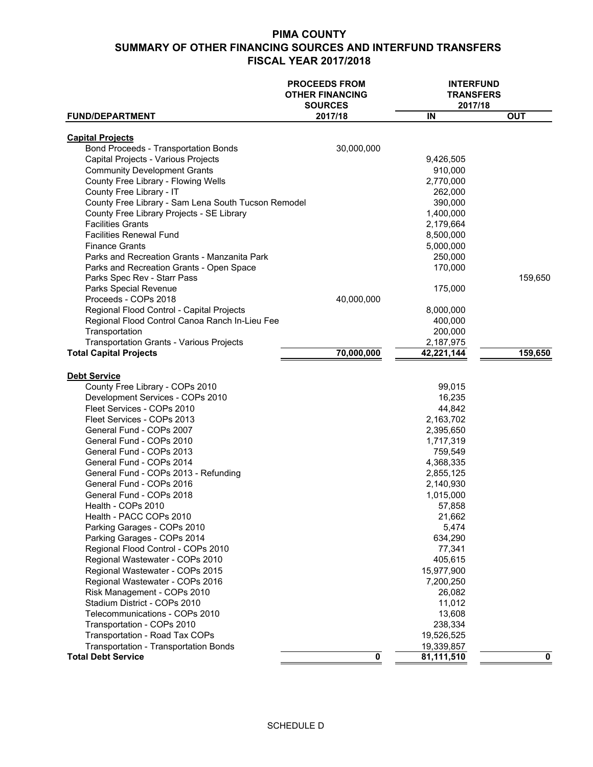|                                                                 | <b>PROCEEDS FROM</b><br><b>OTHER FINANCING</b><br><b>SOURCES</b> | <b>INTERFUND</b><br><b>TRANSFERS</b><br>2017/18 |            |
|-----------------------------------------------------------------|------------------------------------------------------------------|-------------------------------------------------|------------|
| <b>FUND/DEPARTMENT</b>                                          | 2017/18                                                          | IN                                              | <b>OUT</b> |
|                                                                 |                                                                  |                                                 |            |
| <b>Capital Projects</b><br>Bond Proceeds - Transportation Bonds | 30,000,000                                                       |                                                 |            |
| Capital Projects - Various Projects                             |                                                                  | 9,426,505                                       |            |
| <b>Community Development Grants</b>                             |                                                                  | 910,000                                         |            |
| County Free Library - Flowing Wells                             |                                                                  | 2,770,000                                       |            |
| County Free Library - IT                                        |                                                                  | 262,000                                         |            |
| County Free Library - Sam Lena South Tucson Remodel             |                                                                  | 390,000                                         |            |
| County Free Library Projects - SE Library                       |                                                                  | 1,400,000                                       |            |
| <b>Facilities Grants</b>                                        |                                                                  | 2,179,664                                       |            |
| <b>Facilities Renewal Fund</b>                                  |                                                                  | 8,500,000                                       |            |
| <b>Finance Grants</b>                                           |                                                                  | 5,000,000                                       |            |
| Parks and Recreation Grants - Manzanita Park                    |                                                                  | 250,000                                         |            |
| Parks and Recreation Grants - Open Space                        |                                                                  | 170,000                                         |            |
| Parks Spec Rev - Starr Pass                                     |                                                                  |                                                 | 159,650    |
| Parks Special Revenue                                           |                                                                  | 175,000                                         |            |
| Proceeds - COPs 2018                                            | 40,000,000                                                       |                                                 |            |
| Regional Flood Control - Capital Projects                       |                                                                  | 8,000,000                                       |            |
| Regional Flood Control Canoa Ranch In-Lieu Fee                  |                                                                  | 400,000                                         |            |
| Transportation                                                  |                                                                  | 200,000                                         |            |
| Transportation Grants - Various Projects                        |                                                                  | 2,187,975                                       |            |
| <b>Total Capital Projects</b>                                   | 70,000,000                                                       | 42,221,144                                      | 159,650    |
|                                                                 |                                                                  |                                                 |            |
| <b>Debt Service</b>                                             |                                                                  |                                                 |            |
| County Free Library - COPs 2010                                 |                                                                  | 99,015                                          |            |
| Development Services - COPs 2010<br>Fleet Services - COPs 2010  |                                                                  | 16,235<br>44,842                                |            |
| Fleet Services - COPs 2013                                      |                                                                  | 2,163,702                                       |            |
| General Fund - COPs 2007                                        |                                                                  | 2,395,650                                       |            |
| General Fund - COPs 2010                                        |                                                                  | 1,717,319                                       |            |
| General Fund - COPs 2013                                        |                                                                  | 759,549                                         |            |
| General Fund - COPs 2014                                        |                                                                  | 4,368,335                                       |            |
| General Fund - COPs 2013 - Refunding                            |                                                                  | 2,855,125                                       |            |
| General Fund - COPs 2016                                        |                                                                  | 2,140,930                                       |            |
| General Fund - COPs 2018                                        |                                                                  | 1,015,000                                       |            |
| Health - COPs 2010                                              |                                                                  | 57,858                                          |            |
| Health - PACC COPs 2010                                         |                                                                  | 21,662                                          |            |
| Parking Garages - COPs 2010                                     |                                                                  | 5,474                                           |            |
| Parking Garages - COPs 2014                                     |                                                                  | 634,290                                         |            |
| Regional Flood Control - COPs 2010                              |                                                                  | 77,341                                          |            |
| Regional Wastewater - COPs 2010                                 |                                                                  | 405,615                                         |            |
| Regional Wastewater - COPs 2015                                 |                                                                  | 15,977,900                                      |            |
| Regional Wastewater - COPs 2016                                 |                                                                  | 7,200,250                                       |            |
| Risk Management - COPs 2010                                     |                                                                  | 26,082                                          |            |
| Stadium District - COPs 2010                                    |                                                                  | 11,012                                          |            |
| Telecommunications - COPs 2010                                  |                                                                  | 13,608                                          |            |
| Transportation - COPs 2010                                      |                                                                  | 238,334                                         |            |
| <b>Transportation - Road Tax COPs</b>                           |                                                                  | 19,526,525                                      |            |
| Transportation - Transportation Bonds                           |                                                                  | 19,339,857                                      |            |
| <b>Total Debt Service</b>                                       | 0                                                                | 81,111,510                                      | n          |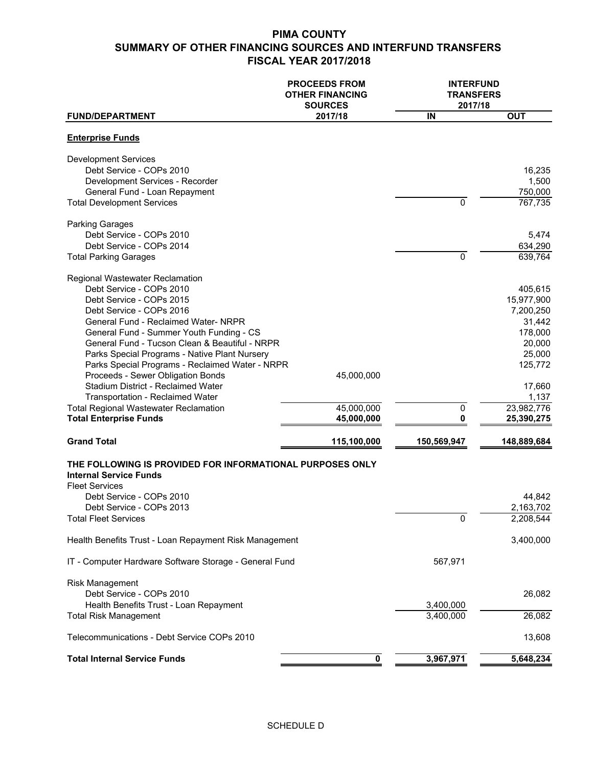|                                                                                                                                                                                                                                                                                                                                                                                                                                          | <b>PROCEEDS FROM</b><br><b>OTHER FINANCING</b><br><b>SOURCES</b> | <b>INTERFUND</b><br><b>TRANSFERS</b><br>2017/18 |                                                                                                  |
|------------------------------------------------------------------------------------------------------------------------------------------------------------------------------------------------------------------------------------------------------------------------------------------------------------------------------------------------------------------------------------------------------------------------------------------|------------------------------------------------------------------|-------------------------------------------------|--------------------------------------------------------------------------------------------------|
| <b>FUND/DEPARTMENT</b>                                                                                                                                                                                                                                                                                                                                                                                                                   | 2017/18                                                          | IN                                              | <b>OUT</b>                                                                                       |
| <b>Enterprise Funds</b>                                                                                                                                                                                                                                                                                                                                                                                                                  |                                                                  |                                                 |                                                                                                  |
| <b>Development Services</b><br>Debt Service - COPs 2010<br>Development Services - Recorder<br>General Fund - Loan Repayment<br><b>Total Development Services</b>                                                                                                                                                                                                                                                                         |                                                                  | $\Omega$                                        | 16,235<br>1,500<br>750,000<br>767,735                                                            |
|                                                                                                                                                                                                                                                                                                                                                                                                                                          |                                                                  |                                                 |                                                                                                  |
| <b>Parking Garages</b><br>Debt Service - COPs 2010<br>Debt Service - COPs 2014<br><b>Total Parking Garages</b>                                                                                                                                                                                                                                                                                                                           |                                                                  | $\mathbf 0$                                     | 5,474<br>634,290<br>639,764                                                                      |
| Regional Wastewater Reclamation<br>Debt Service - COPs 2010<br>Debt Service - COPs 2015<br>Debt Service - COPs 2016<br>General Fund - Reclaimed Water- NRPR<br>General Fund - Summer Youth Funding - CS<br>General Fund - Tucson Clean & Beautiful - NRPR<br>Parks Special Programs - Native Plant Nursery<br>Parks Special Programs - Reclaimed Water - NRPR<br>Proceeds - Sewer Obligation Bonds<br>Stadium District - Reclaimed Water | 45,000,000                                                       |                                                 | 405,615<br>15,977,900<br>7,200,250<br>31,442<br>178,000<br>20,000<br>25,000<br>125,772<br>17,660 |
| Transportation - Reclaimed Water                                                                                                                                                                                                                                                                                                                                                                                                         |                                                                  |                                                 | 1,137                                                                                            |
| <b>Total Regional Wastewater Reclamation</b><br><b>Total Enterprise Funds</b>                                                                                                                                                                                                                                                                                                                                                            | 45,000,000<br>45,000,000                                         | $\mathbf 0$<br>0                                | 23,982,776<br>25,390,275                                                                         |
| <b>Grand Total</b>                                                                                                                                                                                                                                                                                                                                                                                                                       | 115,100,000                                                      | 150,569,947                                     | 148,889,684                                                                                      |
| THE FOLLOWING IS PROVIDED FOR INFORMATIONAL PURPOSES ONLY<br><b>Internal Service Funds</b><br><b>Fleet Services</b><br>Debt Service - COPs 2010<br>Debt Service - COPs 2013<br><b>Total Fleet Services</b>                                                                                                                                                                                                                               |                                                                  | 0                                               | 44,842<br>2,163,702<br>2,208,544                                                                 |
| Health Benefits Trust - Loan Repayment Risk Management                                                                                                                                                                                                                                                                                                                                                                                   |                                                                  |                                                 | 3,400,000                                                                                        |
| IT - Computer Hardware Software Storage - General Fund                                                                                                                                                                                                                                                                                                                                                                                   |                                                                  | 567,971                                         |                                                                                                  |
| Risk Management<br>Debt Service - COPs 2010<br>Health Benefits Trust - Loan Repayment                                                                                                                                                                                                                                                                                                                                                    |                                                                  | 3,400,000                                       | 26,082                                                                                           |
| <b>Total Risk Management</b>                                                                                                                                                                                                                                                                                                                                                                                                             |                                                                  | 3,400,000                                       | 26,082                                                                                           |
| Telecommunications - Debt Service COPs 2010                                                                                                                                                                                                                                                                                                                                                                                              |                                                                  |                                                 | 13,608                                                                                           |
| <b>Total Internal Service Funds</b>                                                                                                                                                                                                                                                                                                                                                                                                      | 0                                                                | 3,967,971                                       | 5,648,234                                                                                        |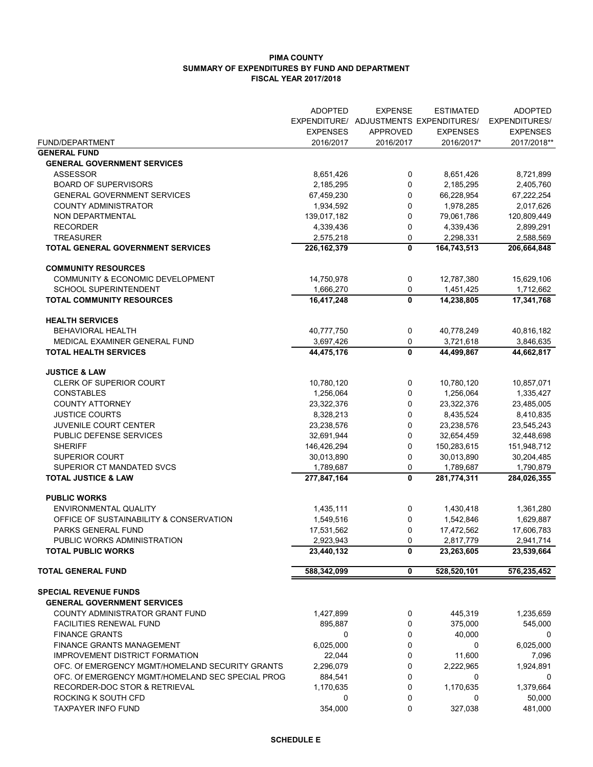#### **PIMA COUNTY SUMMARY OF EXPENDITURES BY FUND AND DEPARTMENT FISCAL YEAR 2017/2018**

|                                                    | <b>ADOPTED</b>          | <b>EXPENSE</b>  | <b>ESTIMATED</b><br>EXPENDITURE/ ADJUSTMENTS EXPENDITURES/ | <b>ADOPTED</b><br><b>EXPENDITURES/</b> |
|----------------------------------------------------|-------------------------|-----------------|------------------------------------------------------------|----------------------------------------|
|                                                    | <b>EXPENSES</b>         | <b>APPROVED</b> | <b>EXPENSES</b>                                            | <b>EXPENSES</b>                        |
| FUND/DEPARTMENT<br><b>GENERAL FUND</b>             | 2016/2017               | 2016/2017       | 2016/2017*                                                 | 2017/2018**                            |
| <b>GENERAL GOVERNMENT SERVICES</b>                 |                         |                 |                                                            |                                        |
| ASSESSOR                                           | 8,651,426               | 0               | 8,651,426                                                  | 8,721,899                              |
| <b>BOARD OF SUPERVISORS</b>                        | 2,185,295               | 0               | 2,185,295                                                  | 2,405,760                              |
| <b>GENERAL GOVERNMENT SERVICES</b>                 | 67,459,230              | 0               | 66,228,954                                                 | 67,222,254                             |
| <b>COUNTY ADMINISTRATOR</b>                        | 1,934,592               | 0               | 1,978,285                                                  | 2,017,626                              |
| NON DEPARTMENTAL                                   | 139,017,182             | 0               | 79,061,786                                                 | 120,809,449                            |
| <b>RECORDER</b>                                    | 4,339,436               | 0               | 4,339,436                                                  | 2,899,291                              |
| <b>TREASURER</b>                                   | 2,575,218               | 0               | 2,298,331                                                  | 2,588,569                              |
| <b>TOTAL GENERAL GOVERNMENT SERVICES</b>           | 226, 162, 379           | 0               | 164,743,513                                                | 206,664,848                            |
| <b>COMMUNITY RESOURCES</b>                         |                         |                 |                                                            |                                        |
| COMMUNITY & ECONOMIC DEVELOPMENT                   | 14,750,978              | 0               | 12,787,380                                                 | 15,629,106                             |
| SCHOOL SUPERINTENDENT                              | 1,666,270               | 0               | 1,451,425                                                  | 1,712,662                              |
| <b>TOTAL COMMUNITY RESOURCES</b>                   | 16,417,248              | 0               | 14,238,805                                                 | 17,341,768                             |
| <b>HEALTH SERVICES</b>                             |                         |                 |                                                            |                                        |
| <b>BEHAVIORAL HEALTH</b>                           | 40,777,750              | 0               | 40,778,249                                                 | 40,816,182                             |
| MEDICAL EXAMINER GENERAL FUND                      | 3,697,426               | 0               | 3,721,618                                                  | 3,846,635                              |
| <b>TOTAL HEALTH SERVICES</b>                       | 44,475,176              | $\mathbf{0}$    | 44,499,867                                                 | 44,662,817                             |
| <b>JUSTICE &amp; LAW</b>                           |                         |                 |                                                            |                                        |
| CLERK OF SUPERIOR COURT                            | 10,780,120              | 0               | 10,780,120                                                 | 10,857,071                             |
| <b>CONSTABLES</b>                                  | 1,256,064               | 0               | 1,256,064                                                  | 1,335,427                              |
| <b>COUNTY ATTORNEY</b>                             | 23,322,376              | 0               | 23,322,376                                                 | 23,485,005                             |
| <b>JUSTICE COURTS</b>                              | 8,328,213               | 0               | 8,435,524                                                  | 8,410,835                              |
| <b>JUVENILE COURT CENTER</b>                       | 23,238,576              | 0               | 23,238,576                                                 | 23,545,243                             |
| PUBLIC DEFENSE SERVICES                            | 32,691,944              | 0               | 32,654,459                                                 | 32,448,698                             |
| <b>SHERIFF</b>                                     | 146,426,294             | 0               | 150,283,615                                                | 151,948,712                            |
| <b>SUPERIOR COURT</b><br>SUPERIOR CT MANDATED SVCS | 30,013,890<br>1,789,687 | 0<br>0          | 30,013,890<br>1,789,687                                    | 30,204,485<br>1,790,879                |
| <b>TOTAL JUSTICE &amp; LAW</b>                     |                         | 0               |                                                            |                                        |
|                                                    | 277,847,164             |                 | 281,774,311                                                | 284,026,355                            |
| <b>PUBLIC WORKS</b>                                |                         |                 |                                                            |                                        |
| <b>ENVIRONMENTAL QUALITY</b>                       | 1,435,111               | 0               | 1,430,418                                                  | 1,361,280                              |
| OFFICE OF SUSTAINABILITY & CONSERVATION            | 1,549,516               | 0               | 1,542,846                                                  | 1,629,887                              |
| PARKS GENERAL FUND                                 | 17,531,562              | 0               | 17,472,562                                                 | 17,606,783                             |
| PUBLIC WORKS ADMINISTRATION                        | 2,923,943               | 0               | 2,817,779                                                  | 2,941,714                              |
| <b>TOTAL PUBLIC WORKS</b>                          | 23,440,132              | $\mathbf{0}$    | 23,263,605                                                 | 23,539,664                             |
| <b>TOTAL GENERAL FUND</b>                          | 588,342,099             | 0               | 528,520,101                                                | 576,235,452                            |
| <b>SPECIAL REVENUE FUNDS</b>                       |                         |                 |                                                            |                                        |
| <b>GENERAL GOVERNMENT SERVICES</b>                 |                         |                 |                                                            |                                        |
| COUNTY ADMINISTRATOR GRANT FUND                    | 1,427,899               | 0               | 445,319                                                    | 1,235,659                              |
| <b>FACILITIES RENEWAL FUND</b>                     | 895,887                 | 0               | 375,000                                                    | 545,000                                |
| <b>FINANCE GRANTS</b>                              | 0                       | 0               | 40,000                                                     | 0                                      |
| <b>FINANCE GRANTS MANAGEMENT</b>                   | 6,025,000               | 0               | 0                                                          | 6,025,000                              |
| <b>IMPROVEMENT DISTRICT FORMATION</b>              | 22,044                  | 0               | 11,600                                                     | 7,096                                  |
| OFC. Of EMERGENCY MGMT/HOMELAND SECURITY GRANTS    | 2,296,079               | 0               | 2,222,965                                                  | 1,924,891                              |
| OFC. Of EMERGENCY MGMT/HOMELAND SEC SPECIAL PROG   | 884,541                 | 0               | 0                                                          | 0                                      |
| RECORDER-DOC STOR & RETRIEVAL                      | 1,170,635               | 0               | 1,170,635                                                  | 1,379,664                              |
| ROCKING K SOUTH CFD                                | 0                       | 0               | 0                                                          | 50,000                                 |
| <b>TAXPAYER INFO FUND</b>                          | 354,000                 | 0               | 327,038                                                    | 481,000                                |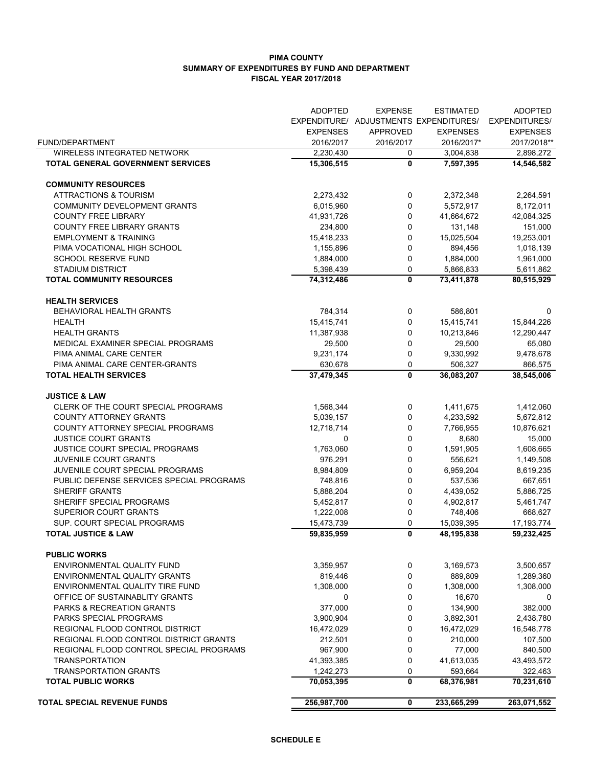#### **PIMA COUNTY SUMMARY OF EXPENDITURES BY FUND AND DEPARTMENT FISCAL YEAR 2017/2018**

|                                                    | <b>ADOPTED</b>  | <b>EXPENSE</b> | <b>ESTIMATED</b>                       | <b>ADOPTED</b>       |
|----------------------------------------------------|-----------------|----------------|----------------------------------------|----------------------|
|                                                    |                 |                | EXPENDITURE/ ADJUSTMENTS EXPENDITURES/ | <b>EXPENDITURES/</b> |
|                                                    | <b>EXPENSES</b> | APPROVED       | <b>EXPENSES</b>                        | <b>EXPENSES</b>      |
| FUND/DEPARTMENT                                    | 2016/2017       | 2016/2017      | 2016/2017*                             | 2017/2018**          |
| <b>WIRELESS INTEGRATED NETWORK</b>                 | 2,230,430       | 0              | 3,004,838                              | 2,898,272            |
| TOTAL GENERAL GOVERNMENT SERVICES                  | 15,306,515      | 0              | 7,597,395                              | 14,546,582           |
|                                                    |                 |                |                                        |                      |
| <b>COMMUNITY RESOURCES</b>                         |                 |                |                                        |                      |
| <b>ATTRACTIONS &amp; TOURISM</b>                   | 2,273,432       | 0              | 2,372,348                              | 2,264,591            |
| COMMUNITY DEVELOPMENT GRANTS                       | 6,015,960       | 0              | 5,572,917                              | 8,172,011            |
| <b>COUNTY FREE LIBRARY</b>                         | 41,931,726      | 0              | 41,664,672                             | 42,084,325           |
| <b>COUNTY FREE LIBRARY GRANTS</b>                  | 234,800         | 0              | 131.148                                | 151,000              |
| <b>EMPLOYMENT &amp; TRAINING</b>                   | 15,418,233      | 0              | 15,025,504                             | 19,253,001           |
| PIMA VOCATIONAL HIGH SCHOOL                        | 1,155,896       | 0              | 894,456                                | 1,018,139            |
| <b>SCHOOL RESERVE FUND</b>                         | 1,884,000       | 0              | 1,884,000                              | 1,961,000            |
| <b>STADIUM DISTRICT</b>                            | 5,398,439       | 0              | 5,866,833                              | 5,611,862            |
| <b>TOTAL COMMUNITY RESOURCES</b>                   | 74,312,486      | 0              | 73,411,878                             | 80,515,929           |
|                                                    |                 |                |                                        |                      |
| <b>HEALTH SERVICES</b><br>BEHAVIORAL HEALTH GRANTS | 784,314         | 0              | 586,801                                | 0                    |
| <b>HEALTH</b>                                      | 15,415,741      | 0              | 15,415,741                             | 15,844,226           |
| <b>HEALTH GRANTS</b>                               | 11,387,938      | $\mathbf 0$    | 10,213,846                             | 12,290,447           |
| MEDICAL EXAMINER SPECIAL PROGRAMS                  | 29,500          | 0              | 29,500                                 | 65,080               |
| PIMA ANIMAL CARE CENTER                            |                 |                |                                        |                      |
|                                                    | 9,231,174       | 0              | 9,330,992                              | 9,478,678            |
| PIMA ANIMAL CARE CENTER-GRANTS                     | 630,678         | 0              | 506,327                                | 866,575              |
| <b>TOTAL HEALTH SERVICES</b>                       | 37,479,345      | 0              | 36,083,207                             | 38,545,006           |
| <b>JUSTICE &amp; LAW</b>                           |                 |                |                                        |                      |
| CLERK OF THE COURT SPECIAL PROGRAMS                | 1,568,344       | 0              | 1,411,675                              | 1,412,060            |
| <b>COUNTY ATTORNEY GRANTS</b>                      | 5,039,157       | 0              | 4,233,592                              | 5,672,812            |
| COUNTY ATTORNEY SPECIAL PROGRAMS                   | 12,718,714      | 0              | 7,766,955                              | 10,876,621           |
| JUSTICE COURT GRANTS                               | 0               | 0              | 8,680                                  | 15,000               |
| JUSTICE COURT SPECIAL PROGRAMS                     | 1,763,060       | $\mathbf 0$    | 1,591,905                              | 1,608,665            |
| JUVENILE COURT GRANTS                              | 976,291         | 0              | 556,621                                | 1,149,508            |
| JUVENILE COURT SPECIAL PROGRAMS                    | 8,984,809       | 0              | 6,959,204                              | 8,619,235            |
| PUBLIC DEFENSE SERVICES SPECIAL PROGRAMS           | 748,816         | 0              | 537,536                                | 667,651              |
| SHERIFF GRANTS                                     | 5,888,204       | 0              | 4,439,052                              | 5,886,725            |
| SHERIFF SPECIAL PROGRAMS                           | 5,452,817       | 0              | 4,902,817                              | 5,461,747            |
| SUPERIOR COURT GRANTS                              | 1,222,008       | 0              | 748,406                                | 668,627              |
| SUP. COURT SPECIAL PROGRAMS                        | 15,473,739      | 0              | 15,039,395                             | 17, 193, 774         |
| <b>TOTAL JUSTICE &amp; LAW</b>                     | 59,835,959      | 0              | 48,195,838                             | 59,232,425           |
|                                                    |                 |                |                                        |                      |
| <b>PUBLIC WORKS</b>                                |                 |                |                                        |                      |
| ENVIRONMENTAL QUALITY FUND                         | 3,359,957       | 0              | 3,169,573                              | 3,500,657            |
| <b>ENVIRONMENTAL QUALITY GRANTS</b>                | 819,446         | 0              | 889,809                                | 1,289,360            |
| ENVIRONMENTAL QUALITY TIRE FUND                    | 1,308,000       | 0              | 1,308,000                              | 1,308,000            |
| OFFICE OF SUSTAINABLITY GRANTS                     | 0               | 0              | 16,670                                 | 0                    |
| <b>PARKS &amp; RECREATION GRANTS</b>               | 377,000         | 0              | 134,900                                | 382,000              |
| PARKS SPECIAL PROGRAMS                             | 3,900,904       | 0              | 3,892,301                              | 2,438,780            |
| REGIONAL FLOOD CONTROL DISTRICT                    | 16,472,029      | $\mathbf 0$    | 16,472,029                             | 16,548,778           |
| REGIONAL FLOOD CONTROL DISTRICT GRANTS             | 212,501         | 0              | 210,000                                | 107,500              |
| REGIONAL FLOOD CONTROL SPECIAL PROGRAMS            | 967,900         | 0              | 77,000                                 | 840,500              |
| <b>TRANSPORTATION</b>                              | 41,393,385      | 0              | 41,613,035                             | 43,493,572           |
| <b>TRANSPORTATION GRANTS</b>                       | 1,242,273       | 0              | 593,664                                | 322,463              |
| <b>TOTAL PUBLIC WORKS</b>                          | 70,053,395      | 0              | 68,376,981                             | 70,231,610           |
| TOTAL SPECIAL REVENUE FUNDS                        | 256,987,700     | 0              | 233,665,299                            | 263,071,552          |
|                                                    |                 |                |                                        |                      |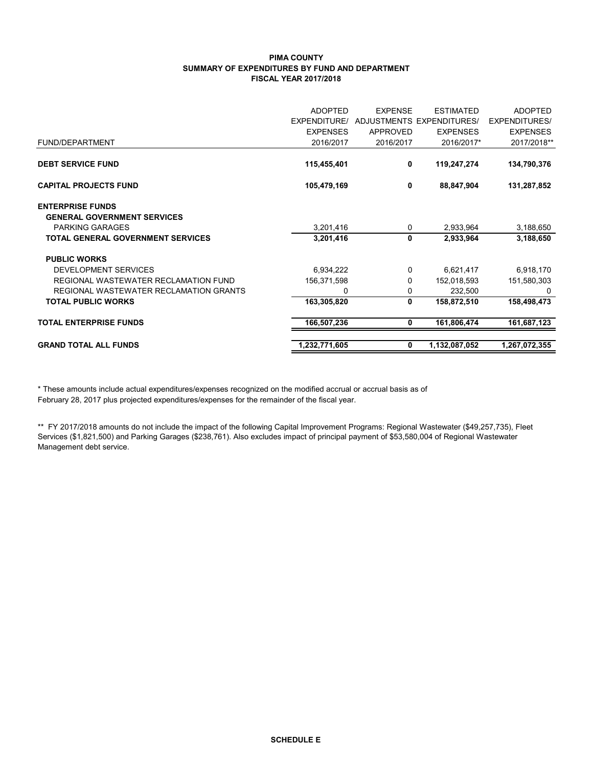#### **PIMA COUNTY SUMMARY OF EXPENDITURES BY FUND AND DEPARTMENT FISCAL YEAR 2017/2018**

| <b>ADOPTED</b>      | <b>EXPENSE</b> | <b>FSTIMATED</b> | <b>ADOPTED</b>                                                    |
|---------------------|----------------|------------------|-------------------------------------------------------------------|
| <b>EXPENDITURE/</b> |                |                  | <b>EXPENDITURES/</b>                                              |
| <b>EXPENSES</b>     | APPROVED       | <b>EXPENSES</b>  | <b>EXPENSES</b>                                                   |
| 2016/2017           |                | 2016/2017*       | 2017/2018**                                                       |
|                     |                |                  |                                                                   |
|                     |                |                  | 134,790,376                                                       |
| 105,479,169         | 0              | 88,847,904       | 131,287,852                                                       |
|                     |                |                  |                                                                   |
|                     |                |                  |                                                                   |
| 3,201,416           |                | 2,933,964        | 3,188,650                                                         |
| 3,201,416           | 0              | 2,933,964        | 3,188,650                                                         |
|                     |                |                  |                                                                   |
| 6,934,222           | 0              | 6,621,417        | 6,918,170                                                         |
| 156,371,598         | 0              | 152,018,593      | 151,580,303                                                       |
| 0                   | 0              | 232,500          | 0                                                                 |
| 163,305,820         | 0              | 158,872,510      | 158,498,473                                                       |
| 166,507,236         | 0              | 161,806,474      | 161,687,123                                                       |
| 1,232,771,605       | 0              | 1,132,087,052    | 1,267,072,355                                                     |
|                     | 115,455,401    | 0                | <b>ADJUSTMENTS EXPENDITURES/</b><br>2016/2017<br>119,247,274<br>0 |

\* These amounts include actual expenditures/expenses recognized on the modified accrual or accrual basis as of February 28, 2017 plus projected expenditures/expenses for the remainder of the fiscal year.

\*\* FY 2017/2018 amounts do not include the impact of the following Capital Improvement Programs: Regional Wastewater (\$49,257,735), Fleet Services (\$1,821,500) and Parking Garages (\$238,761). Also excludes impact of principal payment of \$53,580,004 of Regional Wastewater Management debt service.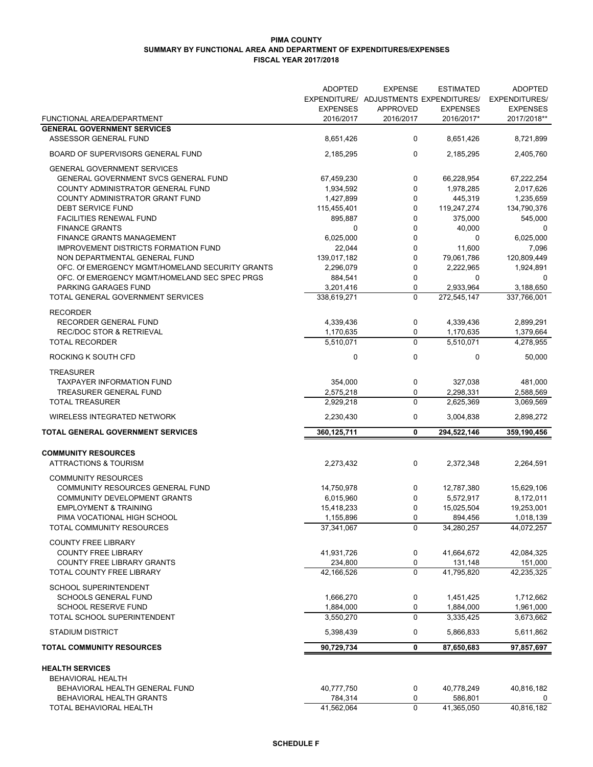#### **PIMA COUNTY SUMMARY BY FUNCTIONAL AREA AND DEPARTMENT OF EXPENDITURES/EXPENSES FISCAL YEAR 2017/2018**

|                                                              | <b>ADOPTED</b>         | <b>EXPENSE</b>   | <b>ESTIMATED</b>                       | <b>ADOPTED</b>         |
|--------------------------------------------------------------|------------------------|------------------|----------------------------------------|------------------------|
|                                                              |                        |                  | EXPENDITURE/ ADJUSTMENTS EXPENDITURES/ | <b>EXPENDITURES/</b>   |
|                                                              | <b>EXPENSES</b>        | <b>APPROVED</b>  | <b>EXPENSES</b>                        | <b>EXPENSES</b>        |
| FUNCTIONAL AREA/DEPARTMENT                                   | 2016/2017              | 2016/2017        | 2016/2017*                             | 2017/2018**            |
| <b>GENERAL GOVERNMENT SERVICES</b>                           |                        |                  |                                        |                        |
| <b>ASSESSOR GENERAL FUND</b>                                 | 8,651,426              | 0                | 8,651,426                              | 8,721,899              |
| BOARD OF SUPERVISORS GENERAL FUND                            | 2,185,295              | $\mathbf 0$      | 2,185,295                              | 2,405,760              |
| <b>GENERAL GOVERNMENT SERVICES</b>                           |                        |                  |                                        |                        |
| GENERAL GOVERNMENT SVCS GENERAL FUND                         | 67,459,230             | 0                | 66,228,954                             | 67,222,254             |
| COUNTY ADMINISTRATOR GENERAL FUND                            | 1,934,592              | 0                | 1,978,285                              | 2,017,626              |
| COUNTY ADMINISTRATOR GRANT FUND                              | 1,427,899              | 0                | 445,319                                | 1,235,659              |
| DEBT SERVICE FUND                                            | 115,455,401            | 0                | 119,247,274                            | 134,790,376            |
| <b>FACILITIES RENEWAL FUND</b>                               | 895,887                | 0                | 375,000                                | 545,000                |
| <b>FINANCE GRANTS</b>                                        | 0                      | 0                | 40,000                                 | 0                      |
| <b>FINANCE GRANTS MANAGEMENT</b>                             | 6,025,000              | 0                | 0                                      | 6,025,000              |
| <b>IMPROVEMENT DISTRICTS FORMATION FUND</b>                  | 22,044                 | 0                | 11,600                                 | 7,096                  |
| NON DEPARTMENTAL GENERAL FUND                                | 139,017,182            | 0                | 79,061,786                             | 120,809,449            |
| OFC. Of EMERGENCY MGMT/HOMELAND SECURITY GRANTS              | 2,296,079              | 0                | 2,222,965                              | 1,924,891              |
| OFC. Of EMERGENCY MGMT/HOMELAND SEC SPEC PRGS                | 884,541                | $\mathbf 0$      | 0<br>2,933,964                         | 0<br>3,188,650         |
| PARKING GARAGES FUND                                         | 3,201,416              | 0<br>$\mathbf 0$ |                                        |                        |
| TOTAL GENERAL GOVERNMENT SERVICES                            | 338,619,271            |                  | 272,545,147                            | 337,766,001            |
| <b>RECORDER</b>                                              |                        |                  |                                        |                        |
| RECORDER GENERAL FUND                                        | 4,339,436              | $\pmb{0}$        | 4,339,436                              | 2,899,291              |
| <b>REC/DOC STOR &amp; RETRIEVAL</b><br><b>TOTAL RECORDER</b> | 1,170,635<br>5,510,071 | 0<br>$\mathbf 0$ | 1,170,635<br>5,510,071                 | 1,379,664<br>4,278,955 |
|                                                              |                        |                  |                                        |                        |
| ROCKING K SOUTH CFD                                          | $\mathbf 0$            | $\mathbf 0$      | $\mathbf 0$                            | 50,000                 |
| <b>TREASURER</b>                                             |                        |                  |                                        |                        |
| <b>TAXPAYER INFORMATION FUND</b>                             | 354,000                | $\pmb{0}$        | 327,038                                | 481,000                |
| TREASURER GENERAL FUND                                       | 2,575,218              | $\mathbf 0$      | 2,298,331                              | 2,588,569              |
| <b>TOTAL TREASURER</b>                                       | 2,929,218              | $\mathbf 0$      | 2,625,369                              | 3,069,569              |
| <b>WIRELESS INTEGRATED NETWORK</b>                           | 2,230,430              | 0                | 3,004,838                              | 2,898,272              |
| TOTAL GENERAL GOVERNMENT SERVICES                            | 360,125,711            | 0                | 294,522,146                            | 359,190,456            |
| <b>COMMUNITY RESOURCES</b>                                   |                        |                  |                                        |                        |
| <b>ATTRACTIONS &amp; TOURISM</b>                             | 2,273,432              | 0                | 2,372,348                              | 2,264,591              |
|                                                              |                        |                  |                                        |                        |
| <b>COMMUNITY RESOURCES</b>                                   |                        |                  |                                        |                        |
| COMMUNITY RESOURCES GENERAL FUND                             | 14,750,978             | 0                | 12,787,380                             | 15,629,106             |
| COMMUNITY DEVELOPMENT GRANTS                                 | 6,015,960              | 0                | 5,572,917                              | 8,172,011              |
| <b>EMPLOYMENT &amp; TRAINING</b>                             | 15,418,233             | 0                | 15,025,504                             | 19,253,001             |
| PIMA VOCATIONAL HIGH SCHOOL                                  | 1,155,896              | 0                | 894,456                                | 1,018,139              |
| TOTAL COMMUNITY RESOURCES                                    | 37,341,067             | $\mathbf 0$      | 34,280,257                             | 44,072,257             |
| <b>COUNTY FREE LIBRARY</b>                                   |                        |                  |                                        |                        |
| <b>COUNTY FREE LIBRARY</b>                                   | 41,931,726             | $\pmb{0}$        | 41,664,672                             | 42,084,325             |
| COUNTY FREE LIBRARY GRANTS                                   | 234,800                | 0                | 131,148                                | 151,000                |
| TOTAL COUNTY FREE LIBRARY                                    | 42,166,526             | $\mathbf 0$      | 41.795.820                             | 42,235,325             |
| <b>SCHOOL SUPERINTENDENT</b>                                 |                        |                  |                                        |                        |
| <b>SCHOOLS GENERAL FUND</b>                                  | 1,666,270              | $\pmb{0}$        | 1,451,425                              | 1,712,662              |
| <b>SCHOOL RESERVE FUND</b>                                   | 1,884,000              | $\pmb{0}$        | 1,884,000                              | 1,961,000              |
| TOTAL SCHOOL SUPERINTENDENT                                  | 3,550,270              | $\mathbf 0$      | 3,335,425                              | 3,673,662              |
| <b>STADIUM DISTRICT</b>                                      | 5,398,439              | 0                | 5,866,833                              | 5,611,862              |
| <b>TOTAL COMMUNITY RESOURCES</b>                             | 90,729,734             | 0                | 87,650,683                             | 97,857,697             |
| <b>HEALTH SERVICES</b>                                       |                        |                  |                                        |                        |
| <b>BEHAVIORAL HEALTH</b>                                     |                        |                  |                                        |                        |
| BEHAVIORAL HEALTH GENERAL FUND                               | 40,777,750             | 0                | 40,778,249                             | 40,816,182             |
| BEHAVIORAL HEALTH GRANTS                                     | 784,314                | 0                | 586,801                                | 0                      |
| TOTAL BEHAVIORAL HEALTH                                      | 41,562,064             | $\boldsymbol{0}$ | 41,365,050                             | 40,816,182             |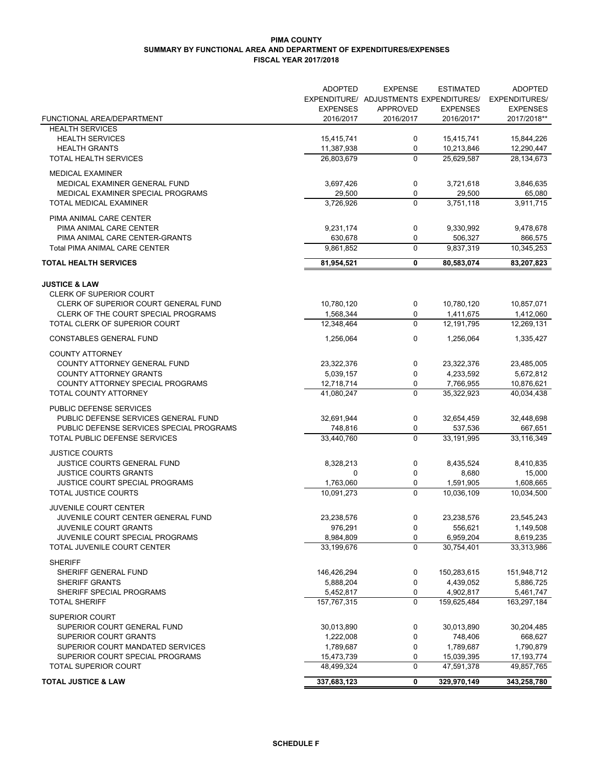#### **PIMA COUNTY SUMMARY BY FUNCTIONAL AREA AND DEPARTMENT OF EXPENDITURES/EXPENSES FISCAL YEAR 2017/2018**

|                                                                | <b>ADOPTED</b>           | <b>EXPENSE</b>                         | <b>ESTIMATED</b>         | <b>ADOPTED</b>             |
|----------------------------------------------------------------|--------------------------|----------------------------------------|--------------------------|----------------------------|
|                                                                |                          | EXPENDITURE/ ADJUSTMENTS EXPENDITURES/ |                          | EXPENDITURES/              |
|                                                                | <b>EXPENSES</b>          | <b>APPROVED</b>                        | <b>EXPENSES</b>          | <b>EXPENSES</b>            |
| FUNCTIONAL AREA/DEPARTMENT                                     | 2016/2017                | 2016/2017                              | 2016/2017*               | 2017/2018**                |
| <b>HEALTH SERVICES</b>                                         |                          |                                        |                          |                            |
| <b>HEALTH SERVICES</b>                                         | 15,415,741               | 0                                      | 15,415,741               | 15,844,226                 |
| <b>HEALTH GRANTS</b><br>TOTAL HEALTH SERVICES                  | 11,387,938<br>26,803,679 | 0<br>$\Omega$                          | 10,213,846<br>25,629,587 | 12,290,447<br>28,134,673   |
|                                                                |                          |                                        |                          |                            |
| <b>MEDICAL EXAMINER</b>                                        |                          |                                        |                          |                            |
| MEDICAL EXAMINER GENERAL FUND                                  | 3,697,426                | 0                                      | 3,721,618                | 3,846,635                  |
| MEDICAL EXAMINER SPECIAL PROGRAMS                              | 29,500                   | 0                                      | 29,500                   | 65,080                     |
| TOTAL MEDICAL EXAMINER                                         | 3,726,926                | $\mathbf 0$                            | 3,751,118                | 3,911,715                  |
| PIMA ANIMAL CARE CENTER                                        |                          |                                        |                          |                            |
| PIMA ANIMAL CARE CENTER                                        | 9,231,174                | 0                                      | 9,330,992                | 9,478,678                  |
| PIMA ANIMAL CARE CENTER-GRANTS                                 | 630,678                  | 0                                      | 506,327                  | 866,575                    |
| Total PIMA ANIMAL CARE CENTER                                  | 9,861,852                | $\pmb{0}$                              | 9,837,319                | 10,345,253                 |
| <b>TOTAL HEALTH SERVICES</b>                                   | 81,954,521               | 0                                      | 80,583,074               | 83,207,823                 |
|                                                                |                          |                                        |                          |                            |
| <b>JUSTICE &amp; LAW</b><br><b>CLERK OF SUPERIOR COURT</b>     |                          |                                        |                          |                            |
| CLERK OF SUPERIOR COURT GENERAL FUND                           | 10,780,120               | 0                                      | 10,780,120               | 10,857,071                 |
| CLERK OF THE COURT SPECIAL PROGRAMS                            | 1,568,344                | 0                                      | 1,411,675                | 1,412,060                  |
| TOTAL CLERK OF SUPERIOR COURT                                  | 12,348,464               | $\Omega$                               | 12,191,795               | 12,269,131                 |
|                                                                |                          |                                        |                          |                            |
| <b>CONSTABLES GENERAL FUND</b>                                 | 1,256,064                | 0                                      | 1,256,064                | 1,335,427                  |
| <b>COUNTY ATTORNEY</b>                                         |                          |                                        |                          |                            |
| COUNTY ATTORNEY GENERAL FUND                                   | 23,322,376               | 0                                      | 23,322,376               | 23,485,005                 |
| <b>COUNTY ATTORNEY GRANTS</b>                                  | 5,039,157                | 0                                      | 4,233,592                | 5,672,812                  |
| COUNTY ATTORNEY SPECIAL PROGRAMS                               | 12,718,714               | 0                                      | 7,766,955                | 10,876,621                 |
| TOTAL COUNTY ATTORNEY                                          | 41,080,247               | $\Omega$                               | 35,322,923               | 40,034,438                 |
| PUBLIC DEFENSE SERVICES                                        |                          |                                        |                          |                            |
| PUBLIC DEFENSE SERVICES GENERAL FUND                           | 32,691,944               | 0                                      | 32,654,459               | 32,448,698                 |
| PUBLIC DEFENSE SERVICES SPECIAL PROGRAMS                       | 748,816                  | 0                                      | 537,536                  | 667,651                    |
| TOTAL PUBLIC DEFENSE SERVICES                                  | 33,440,760               | $\Omega$                               | 33,191,995               | 33,116,349                 |
| <b>JUSTICE COURTS</b>                                          |                          |                                        |                          |                            |
| <b>JUSTICE COURTS GENERAL FUND</b>                             | 8,328,213                | 0                                      | 8,435,524                | 8,410,835                  |
| <b>JUSTICE COURTS GRANTS</b>                                   | 0                        | 0                                      | 8,680                    | 15,000                     |
| <b>JUSTICE COURT SPECIAL PROGRAMS</b>                          | 1,763,060                | 0                                      | 1,591,905                | 1,608,665                  |
| <b>TOTAL JUSTICE COURTS</b>                                    | 10,091,273               | $\Omega$                               | 10.036.109               | 10,034,500                 |
| <b>JUVENILE COURT CENTER</b>                                   |                          |                                        |                          |                            |
| JUVENILE COURT CENTER GENERAL FUND                             | 23,238,576               | $\mathbf{0}$                           | 23,238,576               | 23,545,243                 |
| <b>JUVENILE COURT GRANTS</b>                                   | 976,291                  | 0                                      | 556,621                  | 1,149,508                  |
| JUVENILE COURT SPECIAL PROGRAMS                                | 8,984,809                | 0                                      | 6,959,204                | 8,619,235                  |
| TOTAL JUVENILE COURT CENTER                                    | 33,199,676               | $\mathbf 0$                            | 30,754,401               | 33,313,986                 |
|                                                                |                          |                                        |                          |                            |
| <b>SHERIFF</b>                                                 |                          |                                        |                          |                            |
| SHERIFF GENERAL FUND<br><b>SHERIFF GRANTS</b>                  | 146,426,294<br>5,888,204 | 0<br>0                                 | 150,283,615<br>4,439,052 | 151,948,712<br>5,886,725   |
| SHERIFF SPECIAL PROGRAMS                                       | 5,452,817                | 0                                      | 4,902,817                | 5,461,747                  |
| <b>TOTAL SHERIFF</b>                                           | 157,767,315              | $\mathbf 0$                            | 159,625,484              | 163,297,184                |
|                                                                |                          |                                        |                          |                            |
| <b>SUPERIOR COURT</b>                                          |                          |                                        |                          |                            |
| SUPERIOR COURT GENERAL FUND                                    | 30,013,890               | 0                                      | 30,013,890               | 30,204,485                 |
| SUPERIOR COURT GRANTS                                          | 1,222,008                | 0                                      | 748,406                  | 668,627                    |
| SUPERIOR COURT MANDATED SERVICES                               | 1,789,687                | 0                                      | 1,789,687                | 1,790,879                  |
| SUPERIOR COURT SPECIAL PROGRAMS<br><b>TOTAL SUPERIOR COURT</b> | 15,473,739<br>48,499,324 | 0<br>0                                 | 15,039,395<br>47,591,378 | 17, 193, 774<br>49,857,765 |
|                                                                |                          |                                        |                          |                            |
| <b>TOTAL JUSTICE &amp; LAW</b>                                 | 337,683,123              | 0                                      | 329,970,149              | 343,258,780                |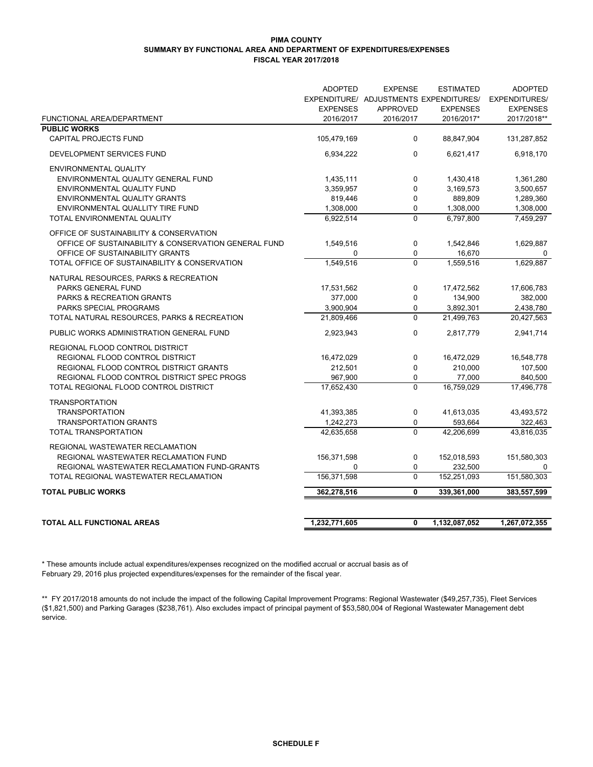#### **PIMA COUNTY SUMMARY BY FUNCTIONAL AREA AND DEPARTMENT OF EXPENDITURES/EXPENSES FISCAL YEAR 2017/2018**

|                                                      | <b>ADOPTED</b>  | <b>EXPENSE</b>                         | <b>ESTIMATED</b> | <b>ADOPTED</b>       |
|------------------------------------------------------|-----------------|----------------------------------------|------------------|----------------------|
|                                                      |                 | EXPENDITURE/ ADJUSTMENTS EXPENDITURES/ |                  | <b>EXPENDITURES/</b> |
|                                                      | <b>EXPENSES</b> | <b>APPROVED</b>                        | <b>EXPENSES</b>  | <b>EXPENSES</b>      |
| FUNCTIONAL AREA/DEPARTMENT                           | 2016/2017       | 2016/2017                              | 2016/2017*       | 2017/2018**          |
| <b>PUBLIC WORKS</b>                                  |                 |                                        |                  |                      |
| <b>CAPITAL PROJECTS FUND</b>                         | 105,479,169     | 0                                      | 88,847,904       | 131,287,852          |
| DEVELOPMENT SERVICES FUND                            | 6,934,222       | 0                                      | 6,621,417        | 6,918,170            |
| <b>ENVIRONMENTAL QUALITY</b>                         |                 |                                        |                  |                      |
| ENVIRONMENTAL QUALITY GENERAL FUND                   | 1,435,111       | 0                                      | 1,430,418        | 1,361,280            |
| ENVIRONMENTAL QUALITY FUND                           | 3,359,957       | 0                                      | 3,169,573        | 3,500,657            |
| ENVIRONMENTAL QUALITY GRANTS                         | 819,446         | 0                                      | 889,809          | 1,289,360            |
| ENVIRONMENTAL QUALLITY TIRE FUND                     | 1,308,000       | 0                                      | 1,308,000        | 1,308,000            |
| TOTAL ENVIRONMENTAL QUALITY                          | 6,922,514       | $\overline{0}$                         | 6,797,800        | 7,459,297            |
| OFFICE OF SUSTAINABILITY & CONSERVATION              |                 |                                        |                  |                      |
| OFFICE OF SUSTAINABILITY & CONSERVATION GENERAL FUND | 1,549,516       | $\mathbf 0$                            | 1,542,846        | 1,629,887            |
| OFFICE OF SUSTAINABILITY GRANTS                      | 0               | 0                                      | 16,670           | 0                    |
| TOTAL OFFICE OF SUSTAINABILITY & CONSERVATION        | 1,549,516       | $\mathbf 0$                            | 1,559,516        | 1,629,887            |
| NATURAL RESOURCES, PARKS & RECREATION                |                 |                                        |                  |                      |
| PARKS GENERAL FUND                                   | 17,531,562      | 0                                      | 17,472,562       | 17,606,783           |
| <b>PARKS &amp; RECREATION GRANTS</b>                 | 377,000         | 0                                      | 134,900          | 382,000              |
| PARKS SPECIAL PROGRAMS                               | 3,900,904       | 0                                      | 3,892,301        | 2,438,780            |
| TOTAL NATURAL RESOURCES, PARKS & RECREATION          | 21.809.466      | $\Omega$                               | 21.499.763       | 20,427,563           |
| PUBLIC WORKS ADMINISTRATION GENERAL FUND             | 2,923,943       | 0                                      | 2,817,779        | 2,941,714            |
| REGIONAL FLOOD CONTROL DISTRICT                      |                 |                                        |                  |                      |
| REGIONAL FLOOD CONTROL DISTRICT                      | 16,472,029      | 0                                      | 16,472,029       | 16,548,778           |
| REGIONAL FLOOD CONTROL DISTRICT GRANTS               | 212,501         | 0                                      | 210,000          | 107,500              |
| REGIONAL FLOOD CONTROL DISTRICT SPEC PROGS           | 967,900         | 0                                      | 77,000           | 840,500              |
| TOTAL REGIONAL FLOOD CONTROL DISTRICT                | 17,652,430      | $\mathbf 0$                            | 16,759,029       | 17,496,778           |
| <b>TRANSPORTATION</b>                                |                 |                                        |                  |                      |
| <b>TRANSPORTATION</b>                                | 41,393,385      | $\pmb{0}$                              | 41,613,035       | 43,493,572           |
| <b>TRANSPORTATION GRANTS</b>                         | 1,242,273       | 0                                      | 593,664          | 322,463              |
| TOTAL TRANSPORTATION                                 | 42,635,658      | 0                                      | 42,206,699       | 43,816,035           |
| REGIONAL WASTEWATER RECLAMATION                      |                 |                                        |                  |                      |
| REGIONAL WASTEWATER RECLAMATION FUND                 | 156,371,598     | 0                                      | 152,018,593      | 151,580,303          |
| REGIONAL WASTEWATER RECLAMATION FUND-GRANTS          | 0               | 0                                      | 232,500          | 0                    |
| TOTAL REGIONAL WASTEWATER RECLAMATION                | 156,371,598     | 0                                      | 152,251,093      | 151,580,303          |
| <b>TOTAL PUBLIC WORKS</b>                            | 362,278,516     | 0                                      | 339,361,000      | 383,557,599          |
|                                                      |                 |                                        |                  |                      |
| <b>TOTAL ALL FUNCTIONAL AREAS</b>                    | 1,232,771,605   | 0                                      | 1,132,087,052    | 1,267,072,355        |
|                                                      |                 |                                        |                  |                      |

\* These amounts include actual expenditures/expenses recognized on the modified accrual or accrual basis as of February 29, 2016 plus projected expenditures/expenses for the remainder of the fiscal year.

\*\* FY 2017/2018 amounts do not include the impact of the following Capital Improvement Programs: Regional Wastewater (\$49,257,735), Fleet Services (\$1,821,500) and Parking Garages (\$238,761). Also excludes impact of principal payment of \$53,580,004 of Regional Wastewater Management debt service.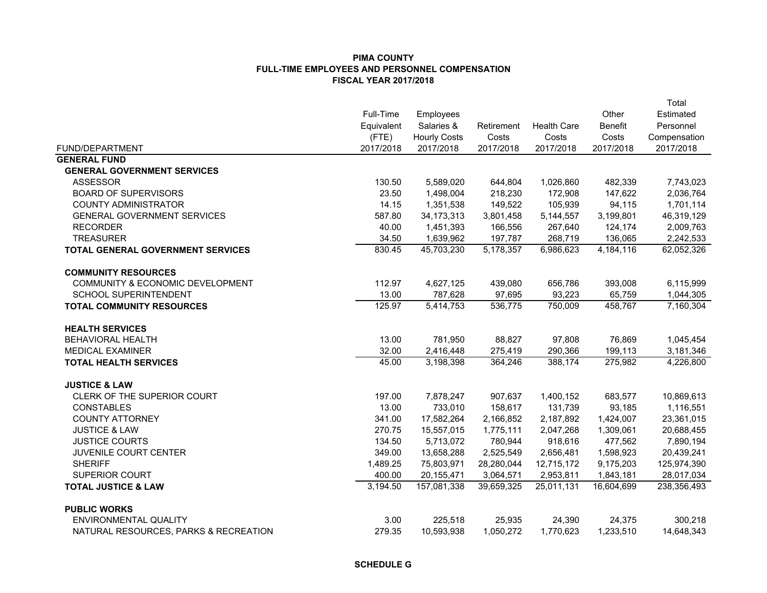|                                             |            |                     |            |                    |                | Total        |
|---------------------------------------------|------------|---------------------|------------|--------------------|----------------|--------------|
|                                             | Full-Time  | Employees           |            |                    | Other          | Estimated    |
|                                             | Equivalent | Salaries &          | Retirement | <b>Health Care</b> | <b>Benefit</b> | Personnel    |
|                                             | (FTE)      | <b>Hourly Costs</b> | Costs      | Costs              | Costs          | Compensation |
| FUND/DEPARTMENT                             | 2017/2018  | 2017/2018           | 2017/2018  | 2017/2018          | 2017/2018      | 2017/2018    |
| <b>GENERAL FUND</b>                         |            |                     |            |                    |                |              |
| <b>GENERAL GOVERNMENT SERVICES</b>          |            |                     |            |                    |                |              |
| <b>ASSESSOR</b>                             | 130.50     | 5,589,020           | 644,804    | 1,026,860          | 482,339        | 7,743,023    |
| <b>BOARD OF SUPERVISORS</b>                 | 23.50      | 1,498,004           | 218,230    | 172,908            | 147,622        | 2,036,764    |
| <b>COUNTY ADMINISTRATOR</b>                 | 14.15      | 1,351,538           | 149,522    | 105,939            | 94,115         | 1,701,114    |
| <b>GENERAL GOVERNMENT SERVICES</b>          | 587.80     | 34, 173, 313        | 3,801,458  | 5,144,557          | 3,199,801      | 46,319,129   |
| <b>RECORDER</b>                             | 40.00      | 1,451,393           | 166,556    | 267,640            | 124,174        | 2,009,763    |
| <b>TREASURER</b>                            | 34.50      | 1,639,962           | 197,787    | 268,719            | 136,065        | 2,242,533    |
| <b>TOTAL GENERAL GOVERNMENT SERVICES</b>    | 830.45     | 45,703,230          | 5,178,357  | 6,986,623          | 4,184,116      | 62,052,326   |
| <b>COMMUNITY RESOURCES</b>                  |            |                     |            |                    |                |              |
| <b>COMMUNITY &amp; ECONOMIC DEVELOPMENT</b> | 112.97     | 4,627,125           | 439,080    | 656,786            | 393,008        | 6,115,999    |
| <b>SCHOOL SUPERINTENDENT</b>                | 13.00      | 787,628             | 97,695     | 93,223             | 65,759         | 1,044,305    |
| <b>TOTAL COMMUNITY RESOURCES</b>            | 125.97     | 5,414,753           | 536,775    | 750,009            | 458,767        | 7,160,304    |
| <b>HEALTH SERVICES</b>                      |            |                     |            |                    |                |              |
| <b>BEHAVIORAL HEALTH</b>                    | 13.00      | 781,950             | 88,827     | 97,808             | 76,869         | 1,045,454    |
| <b>MEDICAL EXAMINER</b>                     | 32.00      | 2,416,448           | 275,419    | 290,366            | 199,113        | 3,181,346    |
| <b>TOTAL HEALTH SERVICES</b>                | 45.00      | 3,198,398           | 364,246    | 388,174            | 275,982        | 4,226,800    |
| <b>JUSTICE &amp; LAW</b>                    |            |                     |            |                    |                |              |
| CLERK OF THE SUPERIOR COURT                 | 197.00     | 7,878,247           | 907,637    | 1,400,152          | 683,577        | 10,869,613   |
| <b>CONSTABLES</b>                           | 13.00      | 733,010             | 158,617    | 131,739            | 93,185         | 1,116,551    |
| <b>COUNTY ATTORNEY</b>                      | 341.00     | 17,582,264          | 2,166,852  | 2,187,892          | 1,424,007      | 23,361,015   |
| <b>JUSTICE &amp; LAW</b>                    | 270.75     | 15,557,015          | 1,775,111  | 2,047,268          | 1,309,061      | 20,688,455   |
| <b>JUSTICE COURTS</b>                       | 134.50     | 5,713,072           | 780,944    | 918,616            | 477,562        | 7,890,194    |
| JUVENILE COURT CENTER                       | 349.00     | 13,658,288          | 2,525,549  | 2,656,481          | 1,598,923      | 20,439,241   |
| <b>SHERIFF</b>                              | 1,489.25   | 75,803,971          | 28,280,044 | 12,715,172         | 9,175,203      | 125,974,390  |
| SUPERIOR COURT                              | 400.00     | 20, 155, 471        | 3,064,571  | 2,953,811          | 1,843,181      | 28,017,034   |
| <b>TOTAL JUSTICE &amp; LAW</b>              | 3,194.50   | 157,081,338         | 39,659,325 | 25,011,131         | 16,604,699     | 238,356,493  |
| <b>PUBLIC WORKS</b>                         |            |                     |            |                    |                |              |
| ENVIRONMENTAL QUALITY                       | 3.00       | 225,518             | 25,935     | 24,390             | 24,375         | 300,218      |
| NATURAL RESOURCES, PARKS & RECREATION       | 279.35     | 10,593,938          | 1,050,272  | 1,770,623          | 1,233,510      | 14,648,343   |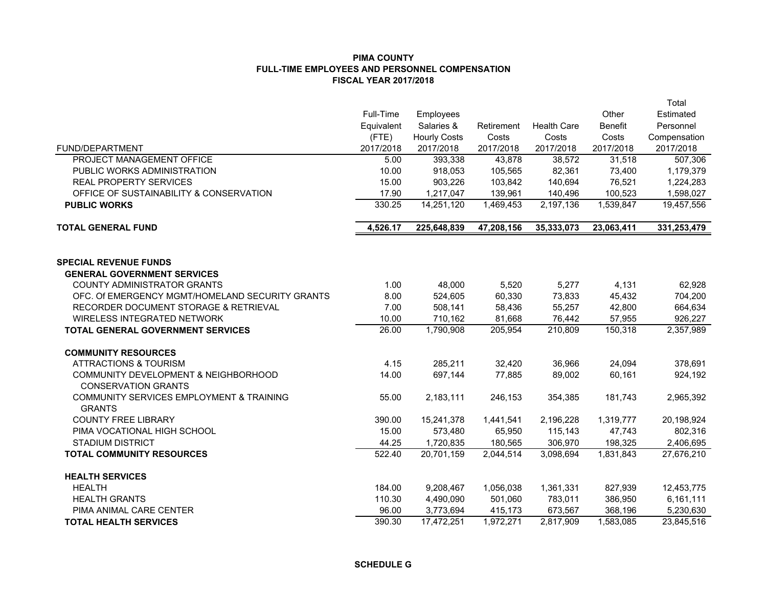|                                                 |             |                     |            |                    |                | Total        |
|-------------------------------------------------|-------------|---------------------|------------|--------------------|----------------|--------------|
|                                                 | Full-Time   | Employees           |            |                    | Other          | Estimated    |
|                                                 | Equivalent  | Salaries &          | Retirement | <b>Health Care</b> | <b>Benefit</b> | Personnel    |
|                                                 | $($ FTE $)$ | <b>Hourly Costs</b> | Costs      | Costs              | Costs          | Compensation |
| <b>FUND/DEPARTMENT</b>                          | 2017/2018   | 2017/2018           | 2017/2018  | 2017/2018          | 2017/2018      | 2017/2018    |
| PROJECT MANAGEMENT OFFICE                       | 5.00        | 393,338             | 43,878     | 38,572             | 31,518         | 507,306      |
| PUBLIC WORKS ADMINISTRATION                     | 10.00       | 918,053             | 105,565    | 82,361             | 73,400         | 1,179,379    |
| <b>REAL PROPERTY SERVICES</b>                   | 15.00       | 903,226             | 103,842    | 140,694            | 76,521         | 1,224,283    |
| OFFICE OF SUSTAINABILITY & CONSERVATION         | 17.90       | 1,217,047           | 139,961    | 140,496            | 100,523        | 1,598,027    |
| <b>PUBLIC WORKS</b>                             | 330.25      | 14,251,120          | 1,469,453  | 2,197,136          | 1,539,847      | 19,457,556   |
| <b>TOTAL GENERAL FUND</b>                       | 4,526.17    | 225,648,839         | 47,208,156 | 35,333,073         | 23,063,411     | 331,253,479  |
| <b>SPECIAL REVENUE FUNDS</b>                    |             |                     |            |                    |                |              |
| <b>GENERAL GOVERNMENT SERVICES</b>              |             |                     |            |                    |                |              |
| <b>COUNTY ADMINISTRATOR GRANTS</b>              | 1.00        | 48,000              | 5,520      | 5,277              | 4,131          | 62,928       |
| OFC. Of EMERGENCY MGMT/HOMELAND SECURITY GRANTS | 8.00        | 524.605             | 60,330     | 73,833             | 45,432         | 704,200      |
| RECORDER DOCUMENT STORAGE & RETRIEVAL           | 7.00        | 508,141             | 58,436     | 55,257             | 42,800         | 664,634      |
| <b>WIRELESS INTEGRATED NETWORK</b>              | 10.00       | 710,162             | 81,668     | 76,442             | 57,955         | 926,227      |
| <b>TOTAL GENERAL GOVERNMENT SERVICES</b>        | 26.00       | 1,790,908           | 205,954    | 210,809            | 150,318        | 2,357,989    |
| <b>COMMUNITY RESOURCES</b>                      |             |                     |            |                    |                |              |
| <b>ATTRACTIONS &amp; TOURISM</b>                | 4.15        | 285,211             | 32,420     | 36,966             | 24,094         | 378,691      |
| <b>COMMUNITY DEVELOPMENT &amp; NEIGHBORHOOD</b> | 14.00       | 697.144             | 77.885     | 89,002             | 60,161         | 924,192      |
| <b>CONSERVATION GRANTS</b>                      |             |                     |            |                    |                |              |
| COMMUNITY SERVICES EMPLOYMENT & TRAINING        | 55.00       | 2,183,111           | 246,153    | 354,385            | 181,743        | 2,965,392    |
| <b>GRANTS</b>                                   |             |                     |            |                    |                |              |
| <b>COUNTY FREE LIBRARY</b>                      | 390.00      | 15,241,378          | 1,441,541  | 2,196,228          | 1,319,777      | 20,198,924   |
| PIMA VOCATIONAL HIGH SCHOOL                     | 15.00       | 573,480             | 65,950     | 115,143            | 47,743         | 802,316      |
| <b>STADIUM DISTRICT</b>                         | 44.25       | 1,720,835           | 180,565    | 306,970            | 198,325        | 2,406,695    |
| <b>TOTAL COMMUNITY RESOURCES</b>                | 522.40      | 20,701,159          | 2,044,514  | 3,098,694          | 1,831,843      | 27,676,210   |
| <b>HEALTH SERVICES</b>                          |             |                     |            |                    |                |              |
| <b>HEALTH</b>                                   | 184.00      | 9,208,467           | 1,056,038  | 1,361,331          | 827,939        | 12,453,775   |
| <b>HEALTH GRANTS</b>                            | 110.30      | 4,490,090           | 501,060    | 783,011            | 386,950        | 6,161,111    |
| PIMA ANIMAL CARE CENTER                         | 96.00       | 3,773,694           | 415,173    | 673,567            | 368,196        | 5,230,630    |
| <b>TOTAL HEALTH SERVICES</b>                    | 390.30      | 17,472,251          | 1,972,271  | 2,817,909          | 1,583,085      | 23,845,516   |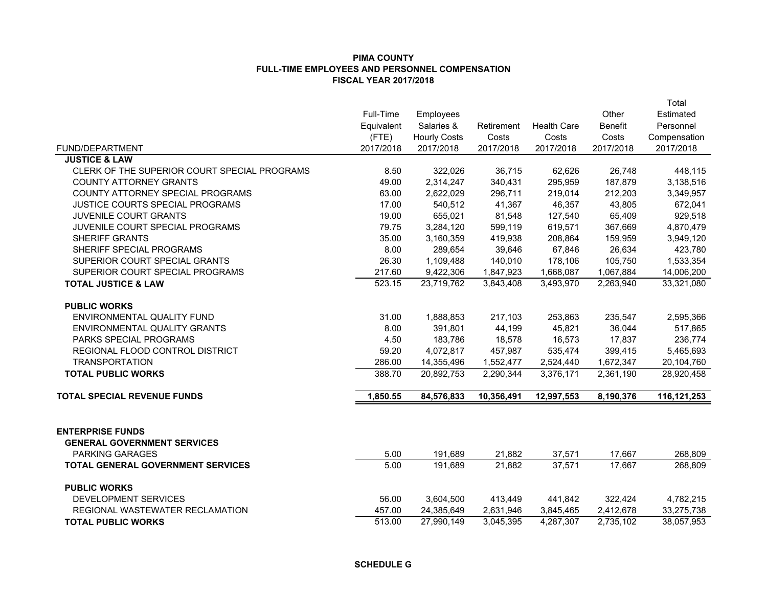| <b>FUND/DEPARTMENT</b>                                        | Full-Time<br>Equivalent<br>$($ FTE $)$<br>2017/2018 | Employees<br>Salaries &<br><b>Hourly Costs</b><br>2017/2018 | Retirement<br>Costs<br>2017/2018 | <b>Health Care</b><br>Costs<br>2017/2018 | Other<br><b>Benefit</b><br>Costs<br>2017/2018 | Total<br>Estimated<br>Personnel<br>Compensation<br>2017/2018 |
|---------------------------------------------------------------|-----------------------------------------------------|-------------------------------------------------------------|----------------------------------|------------------------------------------|-----------------------------------------------|--------------------------------------------------------------|
| <b>JUSTICE &amp; LAW</b>                                      |                                                     |                                                             |                                  |                                          |                                               |                                                              |
| CLERK OF THE SUPERIOR COURT SPECIAL PROGRAMS                  | 8.50                                                | 322,026                                                     | 36,715                           | 62,626                                   | 26,748                                        | 448,115                                                      |
| <b>COUNTY ATTORNEY GRANTS</b>                                 | 49.00                                               | 2,314,247                                                   | 340,431                          | 295,959                                  | 187,879                                       | 3,138,516                                                    |
| COUNTY ATTORNEY SPECIAL PROGRAMS                              | 63.00                                               | 2,622,029                                                   | 296,711                          | 219,014                                  | 212,203                                       | 3,349,957                                                    |
| JUSTICE COURTS SPECIAL PROGRAMS                               | 17.00                                               | 540,512                                                     | 41,367                           | 46,357                                   | 43,805                                        | 672,041                                                      |
| JUVENILE COURT GRANTS                                         | 19.00                                               | 655,021                                                     | 81,548                           | 127,540                                  | 65,409                                        | 929,518                                                      |
| JUVENILE COURT SPECIAL PROGRAMS                               | 79.75                                               | 3,284,120                                                   | 599,119                          | 619,571                                  | 367,669                                       | 4,870,479                                                    |
| <b>SHERIFF GRANTS</b>                                         | 35.00                                               | 3,160,359                                                   | 419,938                          | 208,864                                  | 159,959                                       | 3,949,120                                                    |
| SHERIFF SPECIAL PROGRAMS                                      | 8.00                                                | 289,654                                                     | 39,646                           | 67,846                                   | 26,634                                        | 423,780                                                      |
| SUPERIOR COURT SPECIAL GRANTS                                 | 26.30                                               | 1,109,488                                                   | 140,010                          | 178,106                                  | 105,750                                       | 1,533,354                                                    |
| SUPERIOR COURT SPECIAL PROGRAMS                               | 217.60                                              | 9,422,306                                                   | 1,847,923                        | 1,668,087                                | 1,067,884                                     | 14,006,200                                                   |
| <b>TOTAL JUSTICE &amp; LAW</b>                                | 523.15                                              | 23,719,762                                                  | 3,843,408                        | 3,493,970                                | 2,263,940                                     | 33,321,080                                                   |
| <b>PUBLIC WORKS</b>                                           |                                                     |                                                             |                                  |                                          |                                               |                                                              |
| ENVIRONMENTAL QUALITY FUND                                    | 31.00                                               | 1,888,853                                                   | 217,103                          | 253,863                                  | 235,547                                       | 2,595,366                                                    |
| ENVIRONMENTAL QUALITY GRANTS                                  | 8.00                                                | 391,801                                                     | 44,199                           | 45,821                                   | 36,044                                        | 517,865                                                      |
| <b>PARKS SPECIAL PROGRAMS</b>                                 | 4.50                                                | 183,786                                                     | 18,578                           | 16,573                                   | 17,837                                        | 236,774                                                      |
| REGIONAL FLOOD CONTROL DISTRICT                               | 59.20                                               | 4,072,817                                                   | 457,987                          | 535,474                                  | 399,415                                       | 5,465,693                                                    |
| <b>TRANSPORTATION</b>                                         | 286.00                                              | 14,355,496                                                  | 1,552,477                        | 2,524,440                                | 1,672,347                                     | 20,104,760                                                   |
| <b>TOTAL PUBLIC WORKS</b>                                     | 388.70                                              | 20,892,753                                                  | 2,290,344                        | 3,376,171                                | 2,361,190                                     | 28,920,458                                                   |
| <b>TOTAL SPECIAL REVENUE FUNDS</b>                            | 1,850.55                                            | 84,576,833                                                  | 10,356,491                       | 12,997,553                               | 8,190,376                                     | 116, 121, 253                                                |
|                                                               |                                                     |                                                             |                                  |                                          |                                               |                                                              |
| <b>ENTERPRISE FUNDS</b><br><b>GENERAL GOVERNMENT SERVICES</b> |                                                     |                                                             |                                  |                                          |                                               |                                                              |
| <b>PARKING GARAGES</b>                                        | 5.00                                                | 191,689                                                     | 21,882                           | 37,571                                   | 17,667                                        | 268,809                                                      |
| <b>TOTAL GENERAL GOVERNMENT SERVICES</b>                      | 5.00                                                | 191,689                                                     | 21,882                           | 37,571                                   | 17.667                                        | 268,809                                                      |
| <b>PUBLIC WORKS</b>                                           |                                                     |                                                             |                                  |                                          |                                               |                                                              |
| DEVELOPMENT SERVICES                                          | 56.00                                               | 3,604,500                                                   | 413,449                          | 441,842                                  | 322,424                                       | 4,782,215                                                    |
| REGIONAL WASTEWATER RECLAMATION                               | 457.00                                              | 24,385,649                                                  | 2,631,946                        | 3,845,465                                | 2,412,678                                     | 33,275,738                                                   |
| <b>TOTAL PUBLIC WORKS</b>                                     | 513.00                                              | 27,990,149                                                  | 3,045,395                        | 4,287,307                                | 2,735,102                                     | 38,057,953                                                   |